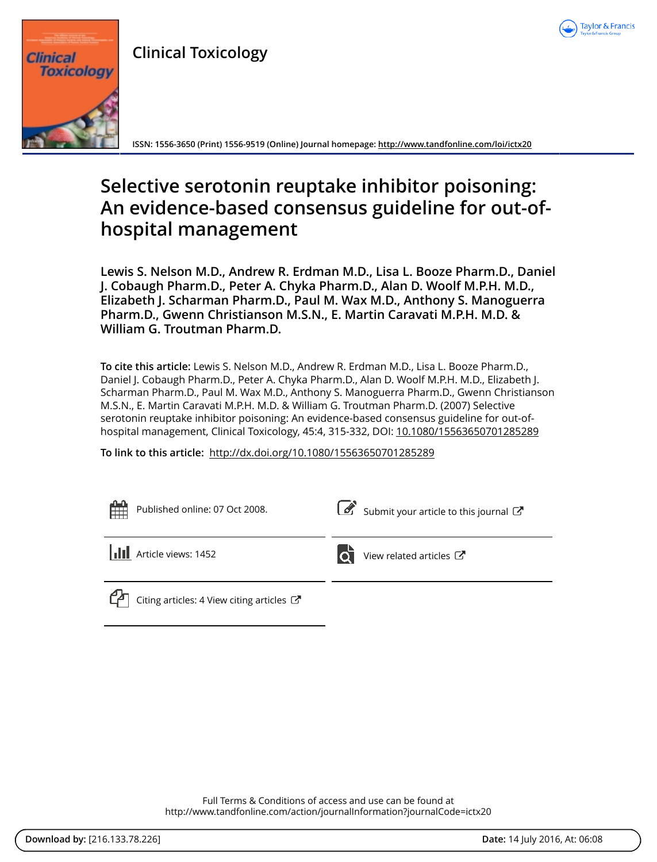

# **Clinical Toxicology**



**ISSN: 1556-3650 (Print) 1556-9519 (Online) Journal homepage:<http://www.tandfonline.com/loi/ictx20>**

# **Selective serotonin reuptake inhibitor poisoning: An evidence-based consensus guideline for out-ofhospital management**

**Lewis S. Nelson M.D., Andrew R. Erdman M.D., Lisa L. Booze Pharm.D., Daniel J. Cobaugh Pharm.D., Peter A. Chyka Pharm.D., Alan D. Woolf M.P.H. M.D., Elizabeth J. Scharman Pharm.D., Paul M. Wax M.D., Anthony S. Manoguerra Pharm.D., Gwenn Christianson M.S.N., E. Martin Caravati M.P.H. M.D. & William G. Troutman Pharm.D.**

**To cite this article:** Lewis S. Nelson M.D., Andrew R. Erdman M.D., Lisa L. Booze Pharm.D., Daniel J. Cobaugh Pharm.D., Peter A. Chyka Pharm.D., Alan D. Woolf M.P.H. M.D., Elizabeth J. Scharman Pharm.D., Paul M. Wax M.D., Anthony S. Manoguerra Pharm.D., Gwenn Christianson M.S.N., E. Martin Caravati M.P.H. M.D. & William G. Troutman Pharm.D. (2007) Selective serotonin reuptake inhibitor poisoning: An evidence-based consensus guideline for out-ofhospital management, Clinical Toxicology, 45:4, 315-332, DOI: [10.1080/15563650701285289](http://www.tandfonline.com/action/showCitFormats?doi=10.1080/15563650701285289)

**To link to this article:** <http://dx.doi.org/10.1080/15563650701285289>



Full Terms & Conditions of access and use can be found at <http://www.tandfonline.com/action/journalInformation?journalCode=ictx20>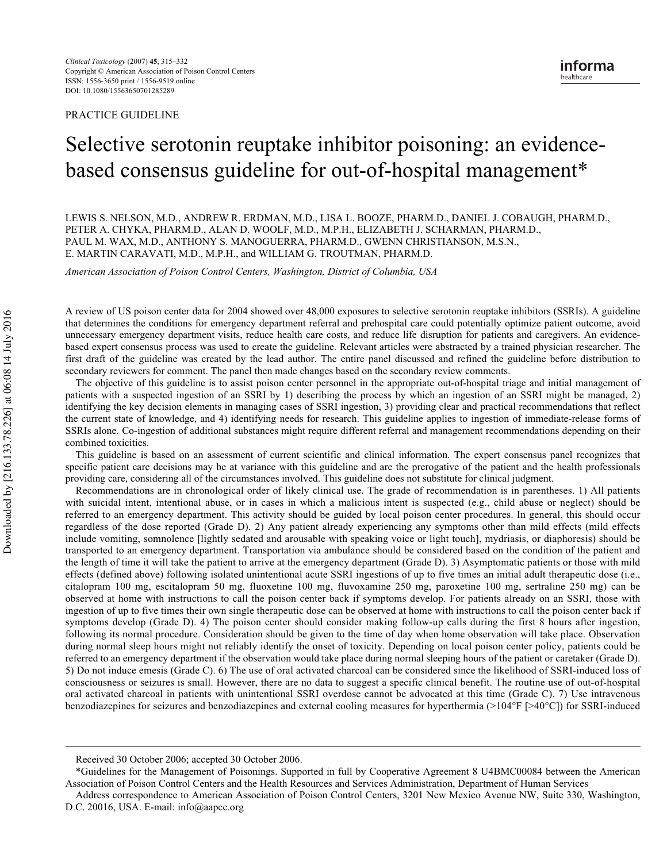PRACTICE GUIDELINE

# Selective serotonin reuptake inhibitor poisoning: an evidencebased consensus guideline for out-of-hospital management\*

LEWIS S. NELSON, M.D., ANDREW R. ERDMAN, M.D., LISA L. BOOZE, PHARM.D., DANIEL J. COBAUGH, PHARM.D., PETER A. CHYKA, PHARM.D., ALAN D. WOOLF, M.D., M.P.H., ELIZABETH J. SCHARMAN, PHARM.D., PAUL M. WAX, M.D., ANTHONY S. MANOGUERRA, PHARM.D., GWENN CHRISTIANSON, M.S.N., E. MARTIN CARAVATI, M.D., M.P.H., and WILLIAM G. TROUTMAN, PHARM.D.

*American Association of Poison Control Centers, Washington, District of Columbia, USA*

A review of US poison center data for 2004 showed over 48,000 exposures to selective serotonin reuptake inhibitors (SSRIs). A guideline that determines the conditions for emergency department referral and prehospital care could potentially optimize patient outcome, avoid unnecessary emergency department visits, reduce health care costs, and reduce life disruption for patients and caregivers. An evidencebased expert consensus process was used to create the guideline. Relevant articles were abstracted by a trained physician researcher. The first draft of the guideline was created by the lead author. The entire panel discussed and refined the guideline before distribution to secondary reviewers for comment. The panel then made changes based on the secondary review comments.

The objective of this guideline is to assist poison center personnel in the appropriate out-of-hospital triage and initial management of patients with a suspected ingestion of an SSRI by 1) describing the process by which an ingestion of an SSRI might be managed, 2) identifying the key decision elements in managing cases of SSRI ingestion, 3) providing clear and practical recommendations that reflect the current state of knowledge, and 4) identifying needs for research. This guideline applies to ingestion of immediate-release forms of SSRIs alone. Co-ingestion of additional substances might require different referral and management recommendations depending on their combined toxicities.

This guideline is based on an assessment of current scientific and clinical information. The expert consensus panel recognizes that specific patient care decisions may be at variance with this guideline and are the prerogative of the patient and the health professionals providing care, considering all of the circumstances involved. This guideline does not substitute for clinical judgment.

Recommendations are in chronological order of likely clinical use. The grade of recommendation is in parentheses. 1) All patients with suicidal intent, intentional abuse, or in cases in which a malicious intent is suspected (e.g., child abuse or neglect) should be referred to an emergency department. This activity should be guided by local poison center procedures. In general, this should occur regardless of the dose reported (Grade D). 2) Any patient already experiencing any symptoms other than mild effects (mild effects include vomiting, somnolence [lightly sedated and arousable with speaking voice or light touch], mydriasis, or diaphoresis) should be transported to an emergency department. Transportation via ambulance should be considered based on the condition of the patient and the length of time it will take the patient to arrive at the emergency department (Grade D). 3) Asymptomatic patients or those with mild effects (defined above) following isolated unintentional acute SSRI ingestions of up to five times an initial adult therapeutic dose (i.e., citalopram 100 mg, escitalopram 50 mg, fluoxetine 100 mg, fluvoxamine 250 mg, paroxetine 100 mg, sertraline 250 mg) can be observed at home with instructions to call the poison center back if symptoms develop. For patients already on an SSRI, those with ingestion of up to five times their own single therapeutic dose can be observed at home with instructions to call the poison center back if symptoms develop (Grade D). 4) The poison center should consider making follow-up calls during the first 8 hours after ingestion, following its normal procedure. Consideration should be given to the time of day when home observation will take place. Observation during normal sleep hours might not reliably identify the onset of toxicity. Depending on local poison center policy, patients could be referred to an emergency department if the observation would take place during normal sleeping hours of the patient or caretaker (Grade D). 5) Do not induce emesis (Grade C). 6) The use of oral activated charcoal can be considered since the likelihood of SSRI-induced loss of consciousness or seizures is small. However, there are no data to suggest a specific clinical benefit. The routine use of out-of-hospital oral activated charcoal in patients with unintentional SSRI overdose cannot be advocated at this time (Grade C). 7) Use intravenous benzodiazepines for seizures and benzodiazepines and external cooling measures for hyperthermia (>104°F [>40°C]) for SSRI-induced

Received 30 October 2006; accepted 30 October 2006.

<sup>\*</sup>Guidelines for the Management of Poisonings. Supported in full by Cooperative Agreement 8 U4BMC00084 between the American Association of Poison Control Centers and the Health Resources and Services Administration, Department of Human Services

Address correspondence to American Association of Poison Control Centers, 3201 New Mexico Avenue NW, Suite 330, Washington, D.C. 20016, USA. E-mail: info@aapcc.org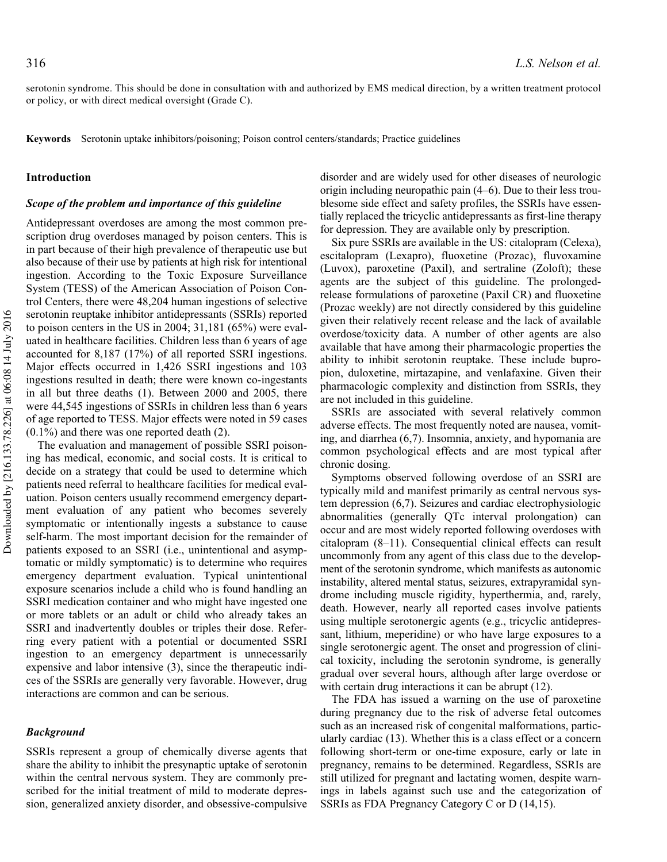serotonin syndrome. This should be done in consultation with and authorized by EMS medical direction, by a written treatment protocol or policy, or with direct medical oversight (Grade C).

**Keywords** Serotonin uptake inhibitors/poisoning; Poison control centers/standards; Practice guidelines

#### **Introduction**

#### *Scope of the problem and importance of this guideline*

Antidepressant overdoses are among the most common prescription drug overdoses managed by poison centers. This is in part because of their high prevalence of therapeutic use but also because of their use by patients at high risk for intentional ingestion. According to the Toxic Exposure Surveillance System (TESS) of the American Association of Poison Control Centers, there were 48,204 human ingestions of selective serotonin reuptake inhibitor antidepressants (SSRIs) reported to poison centers in the US in 2004; 31,181 (65%) were evaluated in healthcare facilities. Children less than 6 years of age accounted for 8,187 (17%) of all reported SSRI ingestions. Major effects occurred in 1,426 SSRI ingestions and 103 ingestions resulted in death; there were known co-ingestants in all but three deaths (1). Between 2000 and 2005, there were 44,545 ingestions of SSRIs in children less than 6 years of age reported to TESS. Major effects were noted in 59 cases (0.1%) and there was one reported death (2).

The evaluation and management of possible SSRI poisoning has medical, economic, and social costs. It is critical to decide on a strategy that could be used to determine which patients need referral to healthcare facilities for medical evaluation. Poison centers usually recommend emergency department evaluation of any patient who becomes severely symptomatic or intentionally ingests a substance to cause self-harm. The most important decision for the remainder of patients exposed to an SSRI (i.e., unintentional and asymptomatic or mildly symptomatic) is to determine who requires emergency department evaluation. Typical unintentional exposure scenarios include a child who is found handling an SSRI medication container and who might have ingested one or more tablets or an adult or child who already takes an SSRI and inadvertently doubles or triples their dose. Referring every patient with a potential or documented SSRI ingestion to an emergency department is unnecessarily expensive and labor intensive (3), since the therapeutic indices of the SSRIs are generally very favorable. However, drug interactions are common and can be serious.

#### *Background*

SSRIs represent a group of chemically diverse agents that share the ability to inhibit the presynaptic uptake of serotonin within the central nervous system. They are commonly prescribed for the initial treatment of mild to moderate depression, generalized anxiety disorder, and obsessive-compulsive disorder and are widely used for other diseases of neurologic origin including neuropathic pain (4–6). Due to their less troublesome side effect and safety profiles, the SSRIs have essentially replaced the tricyclic antidepressants as first-line therapy for depression. They are available only by prescription.

Six pure SSRIs are available in the US: citalopram (Celexa), escitalopram (Lexapro), fluoxetine (Prozac), fluvoxamine (Luvox), paroxetine (Paxil), and sertraline (Zoloft); these agents are the subject of this guideline. The prolongedrelease formulations of paroxetine (Paxil CR) and fluoxetine (Prozac weekly) are not directly considered by this guideline given their relatively recent release and the lack of available overdose/toxicity data. A number of other agents are also available that have among their pharmacologic properties the ability to inhibit serotonin reuptake. These include bupropion, duloxetine, mirtazapine, and venlafaxine. Given their pharmacologic complexity and distinction from SSRIs, they are not included in this guideline.

SSRIs are associated with several relatively common adverse effects. The most frequently noted are nausea, vomiting, and diarrhea (6,7). Insomnia, anxiety, and hypomania are common psychological effects and are most typical after chronic dosing.

Symptoms observed following overdose of an SSRI are typically mild and manifest primarily as central nervous system depression (6,7). Seizures and cardiac electrophysiologic abnormalities (generally QTc interval prolongation) can occur and are most widely reported following overdoses with citalopram (8–11). Consequential clinical effects can result uncommonly from any agent of this class due to the development of the serotonin syndrome, which manifests as autonomic instability, altered mental status, seizures, extrapyramidal syndrome including muscle rigidity, hyperthermia, and, rarely, death. However, nearly all reported cases involve patients using multiple serotonergic agents (e.g., tricyclic antidepressant, lithium, meperidine) or who have large exposures to a single serotonergic agent. The onset and progression of clinical toxicity, including the serotonin syndrome, is generally gradual over several hours, although after large overdose or with certain drug interactions it can be abrupt  $(12)$ .

The FDA has issued a warning on the use of paroxetine during pregnancy due to the risk of adverse fetal outcomes such as an increased risk of congenital malformations, particularly cardiac (13). Whether this is a class effect or a concern following short-term or one-time exposure, early or late in pregnancy, remains to be determined. Regardless, SSRIs are still utilized for pregnant and lactating women, despite warnings in labels against such use and the categorization of SSRIs as FDA Pregnancy Category C or D (14,15).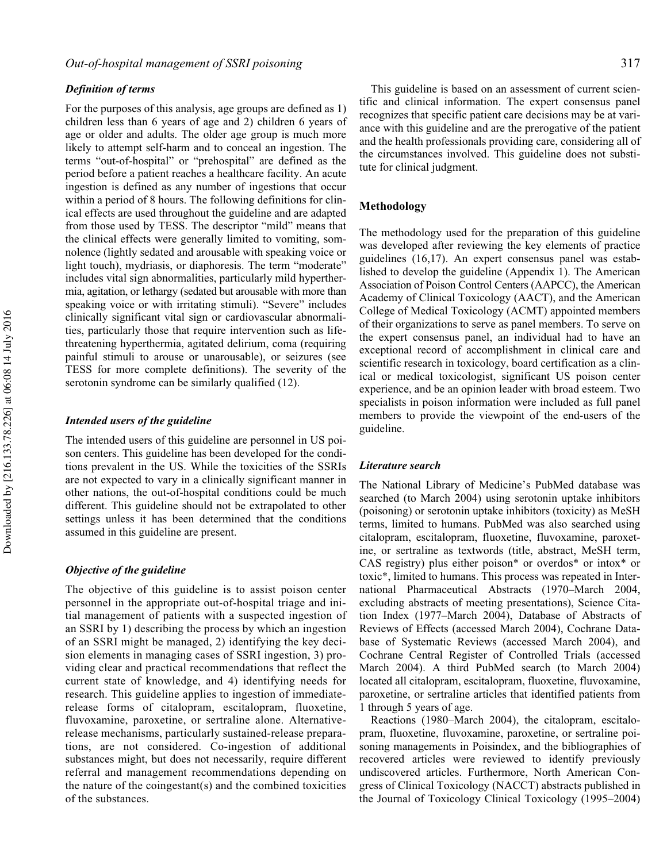#### *Definition of terms*

For the purposes of this analysis, age groups are defined as 1) children less than 6 years of age and 2) children 6 years of age or older and adults. The older age group is much more likely to attempt self-harm and to conceal an ingestion. The terms "out-of-hospital" or "prehospital" are defined as the period before a patient reaches a healthcare facility. An acute ingestion is defined as any number of ingestions that occur within a period of 8 hours. The following definitions for clinical effects are used throughout the guideline and are adapted from those used by TESS. The descriptor "mild" means that the clinical effects were generally limited to vomiting, somnolence (lightly sedated and arousable with speaking voice or light touch), mydriasis, or diaphoresis. The term "moderate" includes vital sign abnormalities, particularly mild hyperthermia, agitation, or lethargy (sedated but arousable with more than speaking voice or with irritating stimuli). "Severe" includes clinically significant vital sign or cardiovascular abnormalities, particularly those that require intervention such as lifethreatening hyperthermia, agitated delirium, coma (requiring painful stimuli to arouse or unarousable), or seizures (see TESS for more complete definitions). The severity of the serotonin syndrome can be similarly qualified (12).

#### *Intended users of the guideline*

The intended users of this guideline are personnel in US poison centers. This guideline has been developed for the conditions prevalent in the US. While the toxicities of the SSRIs are not expected to vary in a clinically significant manner in other nations, the out-of-hospital conditions could be much different. This guideline should not be extrapolated to other settings unless it has been determined that the conditions assumed in this guideline are present.

#### *Objective of the guideline*

The objective of this guideline is to assist poison center personnel in the appropriate out-of-hospital triage and initial management of patients with a suspected ingestion of an SSRI by 1) describing the process by which an ingestion of an SSRI might be managed, 2) identifying the key decision elements in managing cases of SSRI ingestion, 3) providing clear and practical recommendations that reflect the current state of knowledge, and 4) identifying needs for research. This guideline applies to ingestion of immediaterelease forms of citalopram, escitalopram, fluoxetine, fluvoxamine, paroxetine, or sertraline alone. Alternativerelease mechanisms, particularly sustained-release preparations, are not considered. Co-ingestion of additional substances might, but does not necessarily, require different referral and management recommendations depending on the nature of the coingestant(s) and the combined toxicities of the substances.

This guideline is based on an assessment of current scientific and clinical information. The expert consensus panel recognizes that specific patient care decisions may be at variance with this guideline and are the prerogative of the patient and the health professionals providing care, considering all of the circumstances involved. This guideline does not substitute for clinical judgment.

#### **Methodology**

The methodology used for the preparation of this guideline was developed after reviewing the key elements of practice guidelines (16,17). An expert consensus panel was established to develop the guideline (Appendix 1). The American Association of Poison Control Centers (AAPCC), the American Academy of Clinical Toxicology (AACT), and the American College of Medical Toxicology (ACMT) appointed members of their organizations to serve as panel members. To serve on the expert consensus panel, an individual had to have an exceptional record of accomplishment in clinical care and scientific research in toxicology, board certification as a clinical or medical toxicologist, significant US poison center experience, and be an opinion leader with broad esteem. Two specialists in poison information were included as full panel members to provide the viewpoint of the end-users of the guideline.

#### *Literature search*

The National Library of Medicine's PubMed database was searched (to March 2004) using serotonin uptake inhibitors (poisoning) or serotonin uptake inhibitors (toxicity) as MeSH terms, limited to humans. PubMed was also searched using citalopram, escitalopram, fluoxetine, fluvoxamine, paroxetine, or sertraline as textwords (title, abstract, MeSH term, CAS registry) plus either poison\* or overdos\* or intox\* or toxic\*, limited to humans. This process was repeated in International Pharmaceutical Abstracts (1970–March 2004, excluding abstracts of meeting presentations), Science Citation Index (1977–March 2004), Database of Abstracts of Reviews of Effects (accessed March 2004), Cochrane Database of Systematic Reviews (accessed March 2004), and Cochrane Central Register of Controlled Trials (accessed March 2004). A third PubMed search (to March 2004) located all citalopram, escitalopram, fluoxetine, fluvoxamine, paroxetine, or sertraline articles that identified patients from 1 through 5 years of age.

Reactions (1980–March 2004), the citalopram, escitalopram, fluoxetine, fluvoxamine, paroxetine, or sertraline poisoning managements in Poisindex, and the bibliographies of recovered articles were reviewed to identify previously undiscovered articles. Furthermore, North American Congress of Clinical Toxicology (NACCT) abstracts published in the Journal of Toxicology Clinical Toxicology (1995–2004)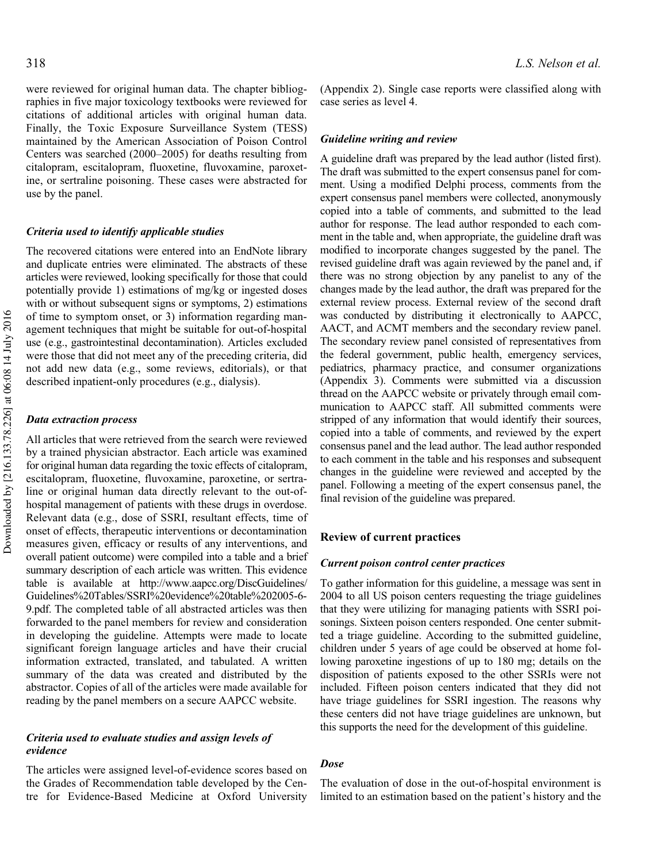were reviewed for original human data. The chapter bibliographies in five major toxicology textbooks were reviewed for citations of additional articles with original human data. Finally, the Toxic Exposure Surveillance System (TESS) maintained by the American Association of Poison Control Centers was searched (2000–2005) for deaths resulting from citalopram, escitalopram, fluoxetine, fluvoxamine, paroxetine, or sertraline poisoning. These cases were abstracted for use by the panel.

#### *Criteria used to identify applicable studies*

The recovered citations were entered into an EndNote library and duplicate entries were eliminated. The abstracts of these articles were reviewed, looking specifically for those that could potentially provide 1) estimations of mg/kg or ingested doses with or without subsequent signs or symptoms, 2) estimations of time to symptom onset, or 3) information regarding management techniques that might be suitable for out-of-hospital use (e.g., gastrointestinal decontamination). Articles excluded were those that did not meet any of the preceding criteria, did not add new data (e.g., some reviews, editorials), or that described inpatient-only procedures (e.g., dialysis).

#### *Data extraction process*

All articles that were retrieved from the search were reviewed by a trained physician abstractor. Each article was examined for original human data regarding the toxic effects of citalopram, escitalopram, fluoxetine, fluvoxamine, paroxetine, or sertraline or original human data directly relevant to the out-ofhospital management of patients with these drugs in overdose. Relevant data (e.g., dose of SSRI, resultant effects, time of onset of effects, therapeutic interventions or decontamination measures given, efficacy or results of any interventions, and overall patient outcome) were compiled into a table and a brief summary description of each article was written. This evidence table is available at http://www.aapcc.org/DiscGuidelines/ Guidelines%20Tables/SSRI%20evidence%20table%202005-6- 9.pdf. The completed table of all abstracted articles was then forwarded to the panel members for review and consideration in developing the guideline. Attempts were made to locate significant foreign language articles and have their crucial information extracted, translated, and tabulated. A written summary of the data was created and distributed by the abstractor. Copies of all of the articles were made available for reading by the panel members on a secure AAPCC website.

#### *Criteria used to evaluate studies and assign levels of evidence*

The articles were assigned level-of-evidence scores based on the Grades of Recommendation table developed by the Centre for Evidence-Based Medicine at Oxford University

(Appendix 2). Single case reports were classified along with case series as level 4.

#### *Guideline writing and review*

A guideline draft was prepared by the lead author (listed first). The draft was submitted to the expert consensus panel for comment. Using a modified Delphi process, comments from the expert consensus panel members were collected, anonymously copied into a table of comments, and submitted to the lead author for response. The lead author responded to each comment in the table and, when appropriate, the guideline draft was modified to incorporate changes suggested by the panel. The revised guideline draft was again reviewed by the panel and, if there was no strong objection by any panelist to any of the changes made by the lead author, the draft was prepared for the external review process. External review of the second draft was conducted by distributing it electronically to AAPCC, AACT, and ACMT members and the secondary review panel. The secondary review panel consisted of representatives from the federal government, public health, emergency services, pediatrics, pharmacy practice, and consumer organizations (Appendix 3). Comments were submitted via a discussion thread on the AAPCC website or privately through email communication to AAPCC staff. All submitted comments were stripped of any information that would identify their sources, copied into a table of comments, and reviewed by the expert consensus panel and the lead author. The lead author responded to each comment in the table and his responses and subsequent changes in the guideline were reviewed and accepted by the panel. Following a meeting of the expert consensus panel, the final revision of the guideline was prepared.

### **Review of current practices**

#### *Current poison control center practices*

To gather information for this guideline, a message was sent in 2004 to all US poison centers requesting the triage guidelines that they were utilizing for managing patients with SSRI poisonings. Sixteen poison centers responded. One center submitted a triage guideline. According to the submitted guideline, children under 5 years of age could be observed at home following paroxetine ingestions of up to 180 mg; details on the disposition of patients exposed to the other SSRIs were not included. Fifteen poison centers indicated that they did not have triage guidelines for SSRI ingestion. The reasons why these centers did not have triage guidelines are unknown, but this supports the need for the development of this guideline.

#### *Dose*

The evaluation of dose in the out-of-hospital environment is limited to an estimation based on the patient's history and the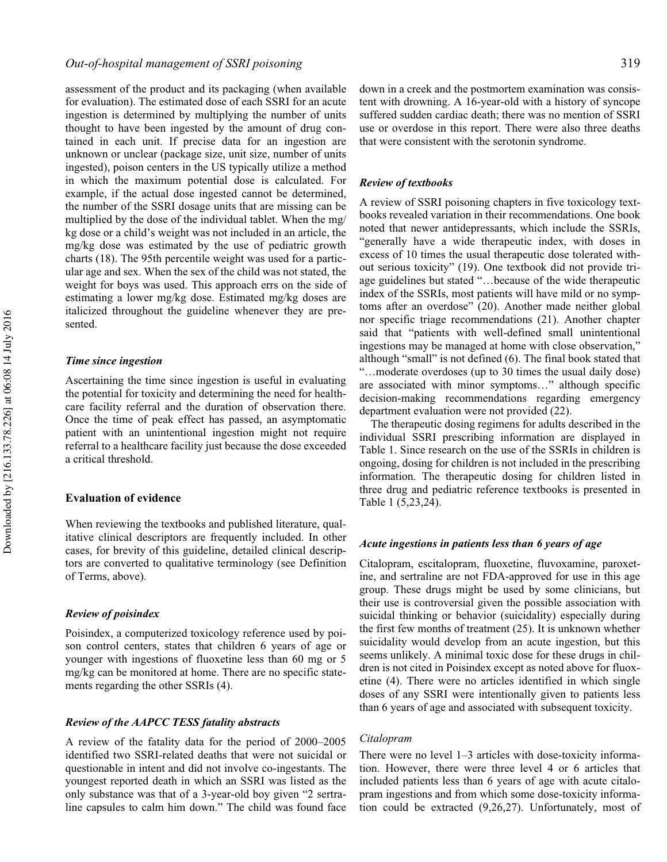assessment of the product and its packaging (when available for evaluation). The estimated dose of each SSRI for an acute ingestion is determined by multiplying the number of units thought to have been ingested by the amount of drug contained in each unit. If precise data for an ingestion are unknown or unclear (package size, unit size, number of units ingested), poison centers in the US typically utilize a method in which the maximum potential dose is calculated. For example, if the actual dose ingested cannot be determined, the number of the SSRI dosage units that are missing can be multiplied by the dose of the individual tablet. When the mg/ kg dose or a child's weight was not included in an article, the mg/kg dose was estimated by the use of pediatric growth charts (18). The 95th percentile weight was used for a particular age and sex. When the sex of the child was not stated, the weight for boys was used. This approach errs on the side of estimating a lower mg/kg dose. Estimated mg/kg doses are italicized throughout the guideline whenever they are presented.

#### *Time since ingestion*

Ascertaining the time since ingestion is useful in evaluating the potential for toxicity and determining the need for healthcare facility referral and the duration of observation there. Once the time of peak effect has passed, an asymptomatic patient with an unintentional ingestion might not require referral to a healthcare facility just because the dose exceeded a critical threshold.

#### **Evaluation of evidence**

When reviewing the textbooks and published literature, qualitative clinical descriptors are frequently included. In other cases, for brevity of this guideline, detailed clinical descriptors are converted to qualitative terminology (see Definition of Terms, above).

#### *Review of poisindex*

Poisindex, a computerized toxicology reference used by poison control centers, states that children 6 years of age or younger with ingestions of fluoxetine less than 60 mg or 5 mg/kg can be monitored at home. There are no specific statements regarding the other SSRIs (4).

#### *Review of the AAPCC TESS fatality abstracts*

A review of the fatality data for the period of 2000–2005 identified two SSRI-related deaths that were not suicidal or questionable in intent and did not involve co-ingestants. The youngest reported death in which an SSRI was listed as the only substance was that of a 3-year-old boy given "2 sertraline capsules to calm him down." The child was found face down in a creek and the postmortem examination was consistent with drowning. A 16-year-old with a history of syncope suffered sudden cardiac death; there was no mention of SSRI use or overdose in this report. There were also three deaths that were consistent with the serotonin syndrome.

#### *Review of textbooks*

A review of SSRI poisoning chapters in five toxicology textbooks revealed variation in their recommendations. One book noted that newer antidepressants, which include the SSRIs, "generally have a wide therapeutic index, with doses in excess of 10 times the usual therapeutic dose tolerated without serious toxicity" (19). One textbook did not provide triage guidelines but stated "…because of the wide therapeutic index of the SSRIs, most patients will have mild or no symptoms after an overdose" (20). Another made neither global nor specific triage recommendations (21). Another chapter said that "patients with well-defined small unintentional ingestions may be managed at home with close observation," although "small" is not defined (6). The final book stated that "…moderate overdoses (up to 30 times the usual daily dose) are associated with minor symptoms…" although specific decision-making recommendations regarding emergency department evaluation were not provided (22).

The therapeutic dosing regimens for adults described in the individual SSRI prescribing information are displayed in Table 1. Since research on the use of the SSRIs in children is ongoing, dosing for children is not included in the prescribing information. The therapeutic dosing for children listed in three drug and pediatric reference textbooks is presented in Table 1 (5,23,24).

## *Acute ingestions in patients less than 6 years of age*

Citalopram, escitalopram, fluoxetine, fluvoxamine, paroxetine, and sertraline are not FDA-approved for use in this age group. These drugs might be used by some clinicians, but their use is controversial given the possible association with suicidal thinking or behavior (suicidality) especially during the first few months of treatment (25). It is unknown whether suicidality would develop from an acute ingestion, but this seems unlikely. A minimal toxic dose for these drugs in children is not cited in Poisindex except as noted above for fluoxetine (4). There were no articles identified in which single doses of any SSRI were intentionally given to patients less than 6 years of age and associated with subsequent toxicity.

#### *Citalopram*

There were no level 1–3 articles with dose-toxicity information. However, there were three level 4 or 6 articles that included patients less than 6 years of age with acute citalopram ingestions and from which some dose-toxicity information could be extracted (9,26,27). Unfortunately, most of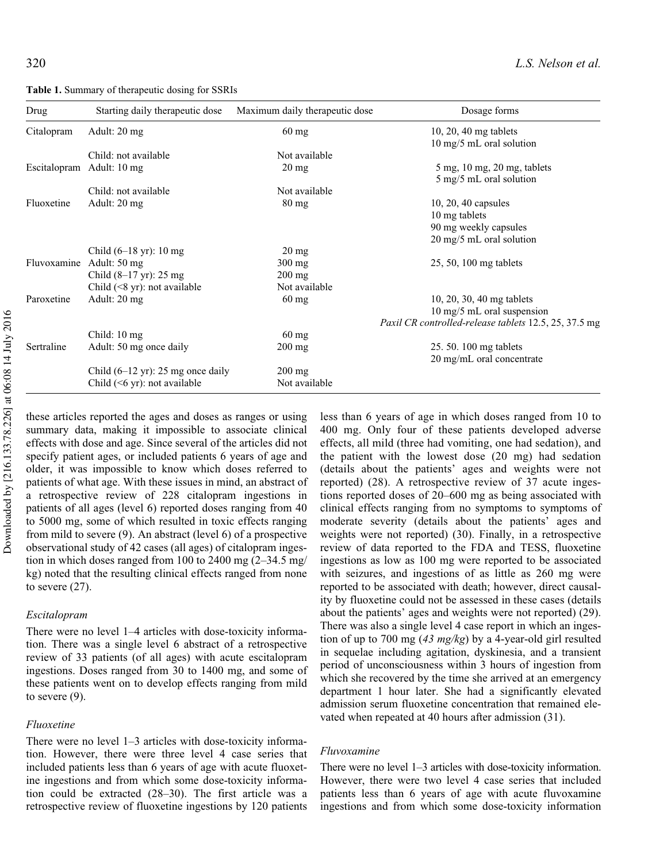| Drug         | Starting daily therapeutic dose                                                         | Maximum daily therapeutic dose                | Dosage forms                                                                                |
|--------------|-----------------------------------------------------------------------------------------|-----------------------------------------------|---------------------------------------------------------------------------------------------|
| Citalopram   | Adult: 20 mg                                                                            | $60 \text{ mg}$                               | 10, 20, 40 mg tablets<br>$10 \text{ mg}/5 \text{ mL}$ oral solution                         |
|              | Child: not available                                                                    | Not available                                 |                                                                                             |
| Escitalopram | Adult: 10 mg                                                                            | $20 \text{ mg}$                               | $5 \text{ mg}$ , $10 \text{ mg}$ , $20 \text{ mg}$ , tablets<br>5 mg/5 mL oral solution     |
|              | Child: not available                                                                    | Not available                                 |                                                                                             |
| Fluoxetine   | Adult: 20 mg                                                                            | $80 \text{ mg}$                               | $10, 20, 40$ capsules<br>10 mg tablets<br>90 mg weekly capsules<br>20 mg/5 mL oral solution |
|              | Child $(6-18 \text{ yr})$ : 10 mg                                                       | $20 \text{ mg}$                               |                                                                                             |
| Fluvoxamine  | Adult: 50 mg<br>Child $(8-17 \text{ yr})$ : 25 mg<br>Child $(\leq 8$ yr): not available | $300$ mg<br>$200 \text{ mg}$<br>Not available | 25, 50, 100 mg tablets                                                                      |
| Paroxetine   | Adult: 20 mg                                                                            | $60 \,\mathrm{mg}$                            | 10, 20, 30, 40 mg tablets<br>10 mg/5 mL oral suspension                                     |
|              |                                                                                         |                                               | Paxil CR controlled-release tablets 12.5, 25, 37.5 mg                                       |
|              | Child: $10 \text{ mg}$                                                                  | $60 \,\mathrm{mg}$                            |                                                                                             |
| Sertraline   | Adult: 50 mg once daily                                                                 | $200$ mg                                      | 25.50.100 mg tablets<br>20 mg/mL oral concentrate                                           |
|              | Child $(6-12 \text{ yr})$ : 25 mg once daily<br>Child $(6 \text{ yr}): not available$   | $200 \text{ mg}$<br>Not available             |                                                                                             |

**Table 1.** Summary of therapeutic dosing for SSRIs

these articles reported the ages and doses as ranges or using summary data, making it impossible to associate clinical effects with dose and age. Since several of the articles did not specify patient ages, or included patients 6 years of age and older, it was impossible to know which doses referred to patients of what age. With these issues in mind, an abstract of a retrospective review of 228 citalopram ingestions in patients of all ages (level 6) reported doses ranging from 40 to 5000 mg, some of which resulted in toxic effects ranging from mild to severe (9). An abstract (level 6) of a prospective observational study of 42 cases (all ages) of citalopram ingestion in which doses ranged from 100 to 2400 mg (2–34.5 mg/ kg) noted that the resulting clinical effects ranged from none to severe (27).

#### *Escitalopram*

There were no level 1–4 articles with dose-toxicity information. There was a single level 6 abstract of a retrospective review of 33 patients (of all ages) with acute escitalopram ingestions. Doses ranged from 30 to 1400 mg, and some of these patients went on to develop effects ranging from mild to severe (9).

### *Fluoxetine*

There were no level 1–3 articles with dose-toxicity information. However, there were three level 4 case series that included patients less than 6 years of age with acute fluoxetine ingestions and from which some dose-toxicity information could be extracted (28–30). The first article was a retrospective review of fluoxetine ingestions by 120 patients

less than 6 years of age in which doses ranged from 10 to 400 mg. Only four of these patients developed adverse effects, all mild (three had vomiting, one had sedation), and the patient with the lowest dose (20 mg) had sedation (details about the patients' ages and weights were not reported) (28). A retrospective review of 37 acute ingestions reported doses of 20–600 mg as being associated with clinical effects ranging from no symptoms to symptoms of moderate severity (details about the patients' ages and weights were not reported) (30). Finally, in a retrospective review of data reported to the FDA and TESS, fluoxetine ingestions as low as 100 mg were reported to be associated with seizures, and ingestions of as little as 260 mg were reported to be associated with death; however, direct causality by fluoxetine could not be assessed in these cases (details about the patients' ages and weights were not reported) (29). There was also a single level 4 case report in which an ingestion of up to 700 mg (*43 mg/kg*) by a 4-year-old girl resulted in sequelae including agitation, dyskinesia, and a transient period of unconsciousness within 3 hours of ingestion from which she recovered by the time she arrived at an emergency department 1 hour later. She had a significantly elevated admission serum fluoxetine concentration that remained elevated when repeated at 40 hours after admission (31).

#### *Fluvoxamine*

There were no level 1–3 articles with dose-toxicity information. However, there were two level 4 case series that included patients less than 6 years of age with acute fluvoxamine ingestions and from which some dose-toxicity information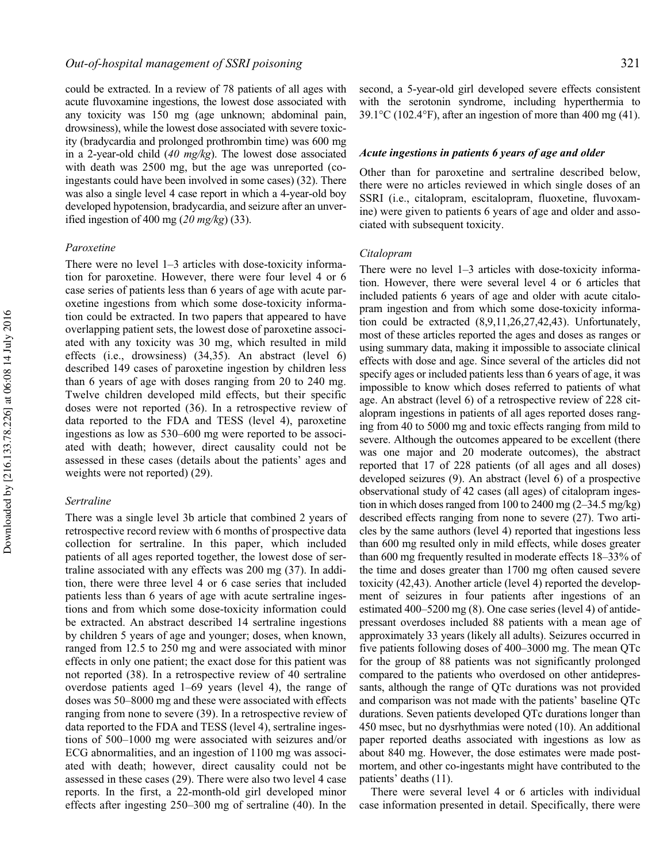could be extracted. In a review of 78 patients of all ages with acute fluvoxamine ingestions, the lowest dose associated with any toxicity was 150 mg (age unknown; abdominal pain, drowsiness), while the lowest dose associated with severe toxicity (bradycardia and prolonged prothrombin time) was 600 mg in a 2-year-old child (*40 mg/kg*). The lowest dose associated with death was 2500 mg, but the age was unreported (coingestants could have been involved in some cases) (32). There was also a single level 4 case report in which a 4-year-old boy developed hypotension, bradycardia, and seizure after an unverified ingestion of 400 mg (*20 mg/kg*) (33).

#### *Paroxetine*

There were no level 1–3 articles with dose-toxicity information for paroxetine. However, there were four level 4 or 6 case series of patients less than 6 years of age with acute paroxetine ingestions from which some dose-toxicity information could be extracted. In two papers that appeared to have overlapping patient sets, the lowest dose of paroxetine associated with any toxicity was 30 mg, which resulted in mild effects (i.e., drowsiness) (34,35). An abstract (level 6) described 149 cases of paroxetine ingestion by children less than 6 years of age with doses ranging from 20 to 240 mg. Twelve children developed mild effects, but their specific doses were not reported (36). In a retrospective review of data reported to the FDA and TESS (level 4), paroxetine ingestions as low as 530–600 mg were reported to be associated with death; however, direct causality could not be assessed in these cases (details about the patients' ages and weights were not reported) (29).

#### *Sertraline*

There was a single level 3b article that combined 2 years of retrospective record review with 6 months of prospective data collection for sertraline. In this paper, which included patients of all ages reported together, the lowest dose of sertraline associated with any effects was 200 mg (37). In addition, there were three level 4 or 6 case series that included patients less than 6 years of age with acute sertraline ingestions and from which some dose-toxicity information could be extracted. An abstract described 14 sertraline ingestions by children 5 years of age and younger; doses, when known, ranged from 12.5 to 250 mg and were associated with minor effects in only one patient; the exact dose for this patient was not reported (38). In a retrospective review of 40 sertraline overdose patients aged 1–69 years (level 4), the range of doses was 50–8000 mg and these were associated with effects ranging from none to severe (39). In a retrospective review of data reported to the FDA and TESS (level 4), sertraline ingestions of 500–1000 mg were associated with seizures and/or ECG abnormalities, and an ingestion of 1100 mg was associated with death; however, direct causality could not be assessed in these cases (29). There were also two level 4 case reports. In the first, a 22-month-old girl developed minor effects after ingesting 250–300 mg of sertraline (40). In the second, a 5-year-old girl developed severe effects consistent with the serotonin syndrome, including hyperthermia to 39.1°C (102.4°F), after an ingestion of more than 400 mg (41).

#### *Acute ingestions in patients 6 years of age and older*

Other than for paroxetine and sertraline described below, there were no articles reviewed in which single doses of an SSRI (i.e., citalopram, escitalopram, fluoxetine, fluvoxamine) were given to patients 6 years of age and older and associated with subsequent toxicity.

#### *Citalopram*

There were no level 1–3 articles with dose-toxicity information. However, there were several level 4 or 6 articles that included patients 6 years of age and older with acute citalopram ingestion and from which some dose-toxicity information could be extracted (8,9,11,26,27,42,43). Unfortunately, most of these articles reported the ages and doses as ranges or using summary data, making it impossible to associate clinical effects with dose and age. Since several of the articles did not specify ages or included patients less than 6 years of age, it was impossible to know which doses referred to patients of what age. An abstract (level 6) of a retrospective review of 228 citalopram ingestions in patients of all ages reported doses ranging from 40 to 5000 mg and toxic effects ranging from mild to severe. Although the outcomes appeared to be excellent (there was one major and 20 moderate outcomes), the abstract reported that 17 of 228 patients (of all ages and all doses) developed seizures (9). An abstract (level 6) of a prospective observational study of 42 cases (all ages) of citalopram ingestion in which doses ranged from 100 to 2400 mg (2–34.5 mg/kg) described effects ranging from none to severe (27). Two articles by the same authors (level 4) reported that ingestions less than 600 mg resulted only in mild effects, while doses greater than 600 mg frequently resulted in moderate effects 18–33% of the time and doses greater than 1700 mg often caused severe toxicity (42,43). Another article (level 4) reported the development of seizures in four patients after ingestions of an estimated 400–5200 mg (8). One case series (level 4) of antidepressant overdoses included 88 patients with a mean age of approximately 33 years (likely all adults). Seizures occurred in five patients following doses of 400–3000 mg. The mean QTc for the group of 88 patients was not significantly prolonged compared to the patients who overdosed on other antidepressants, although the range of QTc durations was not provided and comparison was not made with the patients' baseline QTc durations. Seven patients developed QTc durations longer than 450 msec, but no dysrhythmias were noted (10). An additional paper reported deaths associated with ingestions as low as about 840 mg. However, the dose estimates were made postmortem, and other co-ingestants might have contributed to the patients' deaths (11).

There were several level 4 or 6 articles with individual case information presented in detail. Specifically, there were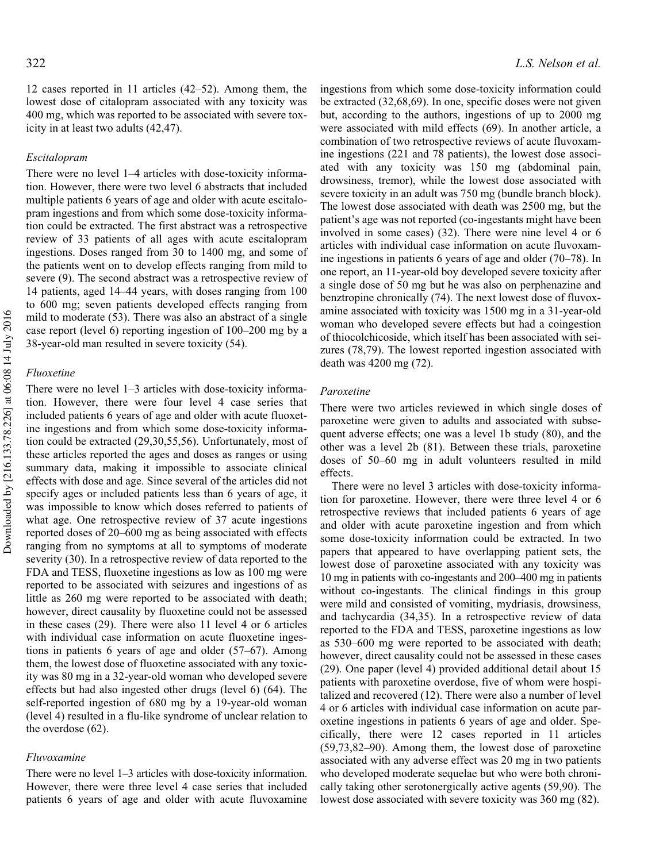12 cases reported in 11 articles (42–52). Among them, the lowest dose of citalopram associated with any toxicity was 400 mg, which was reported to be associated with severe toxicity in at least two adults (42,47).

#### *Escitalopram*

There were no level 1–4 articles with dose-toxicity information. However, there were two level 6 abstracts that included multiple patients 6 years of age and older with acute escitalopram ingestions and from which some dose-toxicity information could be extracted. The first abstract was a retrospective review of 33 patients of all ages with acute escitalopram ingestions. Doses ranged from 30 to 1400 mg, and some of the patients went on to develop effects ranging from mild to severe (9). The second abstract was a retrospective review of 14 patients, aged 14–44 years, with doses ranging from 100 to 600 mg; seven patients developed effects ranging from mild to moderate (53). There was also an abstract of a single case report (level 6) reporting ingestion of 100–200 mg by a 38-year-old man resulted in severe toxicity (54).

#### *Fluoxetine*

There were no level 1–3 articles with dose-toxicity information. However, there were four level 4 case series that included patients 6 years of age and older with acute fluoxetine ingestions and from which some dose-toxicity information could be extracted (29,30,55,56). Unfortunately, most of these articles reported the ages and doses as ranges or using summary data, making it impossible to associate clinical effects with dose and age. Since several of the articles did not specify ages or included patients less than 6 years of age, it was impossible to know which doses referred to patients of what age. One retrospective review of 37 acute ingestions reported doses of 20–600 mg as being associated with effects ranging from no symptoms at all to symptoms of moderate severity (30). In a retrospective review of data reported to the FDA and TESS, fluoxetine ingestions as low as 100 mg were reported to be associated with seizures and ingestions of as little as 260 mg were reported to be associated with death; however, direct causality by fluoxetine could not be assessed in these cases (29). There were also 11 level 4 or 6 articles with individual case information on acute fluoxetine ingestions in patients 6 years of age and older (57–67). Among them, the lowest dose of fluoxetine associated with any toxicity was 80 mg in a 32-year-old woman who developed severe effects but had also ingested other drugs (level 6) (64). The self-reported ingestion of 680 mg by a 19-year-old woman (level 4) resulted in a flu-like syndrome of unclear relation to the overdose (62).

#### *Fluvoxamine*

There were no level 1–3 articles with dose-toxicity information. However, there were three level 4 case series that included patients 6 years of age and older with acute fluvoxamine ingestions from which some dose-toxicity information could be extracted (32,68,69). In one, specific doses were not given but, according to the authors, ingestions of up to 2000 mg were associated with mild effects (69). In another article, a combination of two retrospective reviews of acute fluvoxamine ingestions (221 and 78 patients), the lowest dose associated with any toxicity was 150 mg (abdominal pain, drowsiness, tremor), while the lowest dose associated with severe toxicity in an adult was 750 mg (bundle branch block). The lowest dose associated with death was 2500 mg, but the patient's age was not reported (co-ingestants might have been involved in some cases) (32). There were nine level 4 or 6 articles with individual case information on acute fluvoxamine ingestions in patients 6 years of age and older (70–78). In one report, an 11-year-old boy developed severe toxicity after a single dose of 50 mg but he was also on perphenazine and benztropine chronically (74). The next lowest dose of fluvoxamine associated with toxicity was 1500 mg in a 31-year-old woman who developed severe effects but had a coingestion of thiocolchicoside, which itself has been associated with seizures (78,79). The lowest reported ingestion associated with death was 4200 mg (72).

#### *Paroxetine*

There were two articles reviewed in which single doses of paroxetine were given to adults and associated with subsequent adverse effects; one was a level 1b study (80), and the other was a level 2b (81). Between these trials, paroxetine doses of 50–60 mg in adult volunteers resulted in mild effects.

There were no level 3 articles with dose-toxicity information for paroxetine. However, there were three level 4 or 6 retrospective reviews that included patients 6 years of age and older with acute paroxetine ingestion and from which some dose-toxicity information could be extracted. In two papers that appeared to have overlapping patient sets, the lowest dose of paroxetine associated with any toxicity was 10 mg in patients with co-ingestants and 200–400 mg in patients without co-ingestants. The clinical findings in this group were mild and consisted of vomiting, mydriasis, drowsiness, and tachycardia (34,35). In a retrospective review of data reported to the FDA and TESS, paroxetine ingestions as low as 530–600 mg were reported to be associated with death; however, direct causality could not be assessed in these cases (29). One paper (level 4) provided additional detail about 15 patients with paroxetine overdose, five of whom were hospitalized and recovered (12). There were also a number of level 4 or 6 articles with individual case information on acute paroxetine ingestions in patients 6 years of age and older. Specifically, there were 12 cases reported in 11 articles (59,73,82–90). Among them, the lowest dose of paroxetine associated with any adverse effect was 20 mg in two patients who developed moderate sequelae but who were both chronically taking other serotonergically active agents (59,90). The lowest dose associated with severe toxicity was 360 mg (82).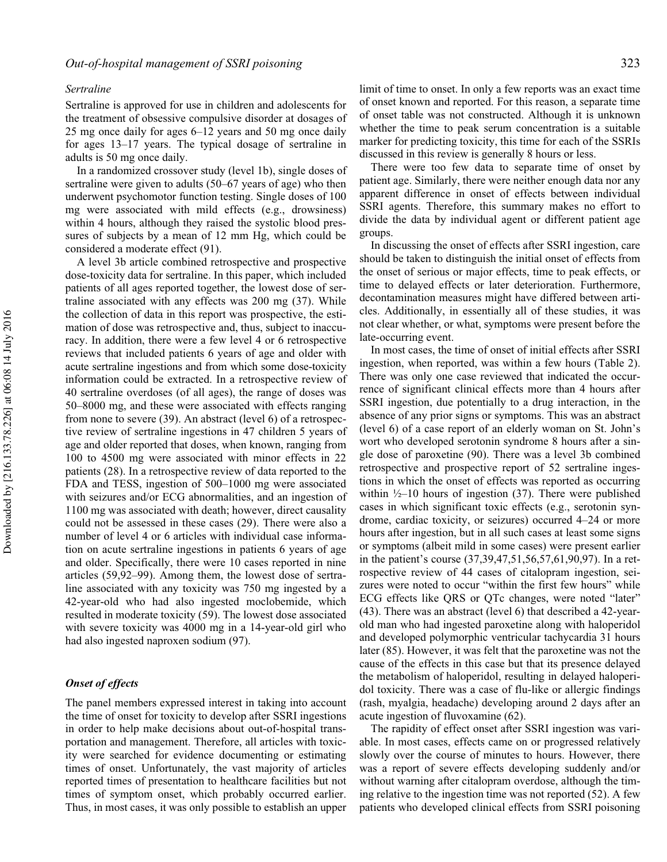#### *Sertraline*

Sertraline is approved for use in children and adolescents for the treatment of obsessive compulsive disorder at dosages of 25 mg once daily for ages 6–12 years and 50 mg once daily for ages 13–17 years. The typical dosage of sertraline in adults is 50 mg once daily.

In a randomized crossover study (level 1b), single doses of sertraline were given to adults (50–67 years of age) who then underwent psychomotor function testing. Single doses of 100 mg were associated with mild effects (e.g., drowsiness) within 4 hours, although they raised the systolic blood pressures of subjects by a mean of 12 mm Hg, which could be considered a moderate effect (91).

A level 3b article combined retrospective and prospective dose-toxicity data for sertraline. In this paper, which included patients of all ages reported together, the lowest dose of sertraline associated with any effects was 200 mg (37). While the collection of data in this report was prospective, the estimation of dose was retrospective and, thus, subject to inaccuracy. In addition, there were a few level 4 or 6 retrospective reviews that included patients 6 years of age and older with acute sertraline ingestions and from which some dose-toxicity information could be extracted. In a retrospective review of 40 sertraline overdoses (of all ages), the range of doses was 50–8000 mg, and these were associated with effects ranging from none to severe (39). An abstract (level 6) of a retrospective review of sertraline ingestions in 47 children 5 years of age and older reported that doses, when known, ranging from 100 to 4500 mg were associated with minor effects in 22 patients (28). In a retrospective review of data reported to the FDA and TESS, ingestion of 500–1000 mg were associated with seizures and/or ECG abnormalities, and an ingestion of 1100 mg was associated with death; however, direct causality could not be assessed in these cases (29). There were also a number of level 4 or 6 articles with individual case information on acute sertraline ingestions in patients 6 years of age and older. Specifically, there were 10 cases reported in nine articles (59,92–99). Among them, the lowest dose of sertraline associated with any toxicity was 750 mg ingested by a 42-year-old who had also ingested moclobemide, which resulted in moderate toxicity (59). The lowest dose associated with severe toxicity was 4000 mg in a 14-year-old girl who had also ingested naproxen sodium (97).

#### *Onset of effects*

The panel members expressed interest in taking into account the time of onset for toxicity to develop after SSRI ingestions in order to help make decisions about out-of-hospital transportation and management. Therefore, all articles with toxicity were searched for evidence documenting or estimating times of onset. Unfortunately, the vast majority of articles reported times of presentation to healthcare facilities but not times of symptom onset, which probably occurred earlier. Thus, in most cases, it was only possible to establish an upper limit of time to onset. In only a few reports was an exact time of onset known and reported. For this reason, a separate time of onset table was not constructed. Although it is unknown whether the time to peak serum concentration is a suitable marker for predicting toxicity, this time for each of the SSRIs discussed in this review is generally 8 hours or less.

There were too few data to separate time of onset by patient age. Similarly, there were neither enough data nor any apparent difference in onset of effects between individual SSRI agents. Therefore, this summary makes no effort to divide the data by individual agent or different patient age groups.

In discussing the onset of effects after SSRI ingestion, care should be taken to distinguish the initial onset of effects from the onset of serious or major effects, time to peak effects, or time to delayed effects or later deterioration. Furthermore, decontamination measures might have differed between articles. Additionally, in essentially all of these studies, it was not clear whether, or what, symptoms were present before the late-occurring event.

In most cases, the time of onset of initial effects after SSRI ingestion, when reported, was within a few hours (Table 2). There was only one case reviewed that indicated the occurrence of significant clinical effects more than 4 hours after SSRI ingestion, due potentially to a drug interaction, in the absence of any prior signs or symptoms. This was an abstract (level 6) of a case report of an elderly woman on St. John's wort who developed serotonin syndrome 8 hours after a single dose of paroxetine (90). There was a level 3b combined retrospective and prospective report of 52 sertraline ingestions in which the onset of effects was reported as occurring within  $\frac{1}{2}$ –10 hours of ingestion (37). There were published cases in which significant toxic effects (e.g., serotonin syndrome, cardiac toxicity, or seizures) occurred 4–24 or more hours after ingestion, but in all such cases at least some signs or symptoms (albeit mild in some cases) were present earlier in the patient's course (37,39,47,51,56,57,61,90,97). In a retrospective review of 44 cases of citalopram ingestion, seizures were noted to occur "within the first few hours" while ECG effects like QRS or QTc changes, were noted "later" (43). There was an abstract (level 6) that described a 42-yearold man who had ingested paroxetine along with haloperidol and developed polymorphic ventricular tachycardia 31 hours later (85). However, it was felt that the paroxetine was not the cause of the effects in this case but that its presence delayed the metabolism of haloperidol, resulting in delayed haloperidol toxicity. There was a case of flu-like or allergic findings (rash, myalgia, headache) developing around 2 days after an acute ingestion of fluvoxamine (62).

The rapidity of effect onset after SSRI ingestion was variable. In most cases, effects came on or progressed relatively slowly over the course of minutes to hours. However, there was a report of severe effects developing suddenly and/or without warning after citalopram overdose, although the timing relative to the ingestion time was not reported (52). A few patients who developed clinical effects from SSRI poisoning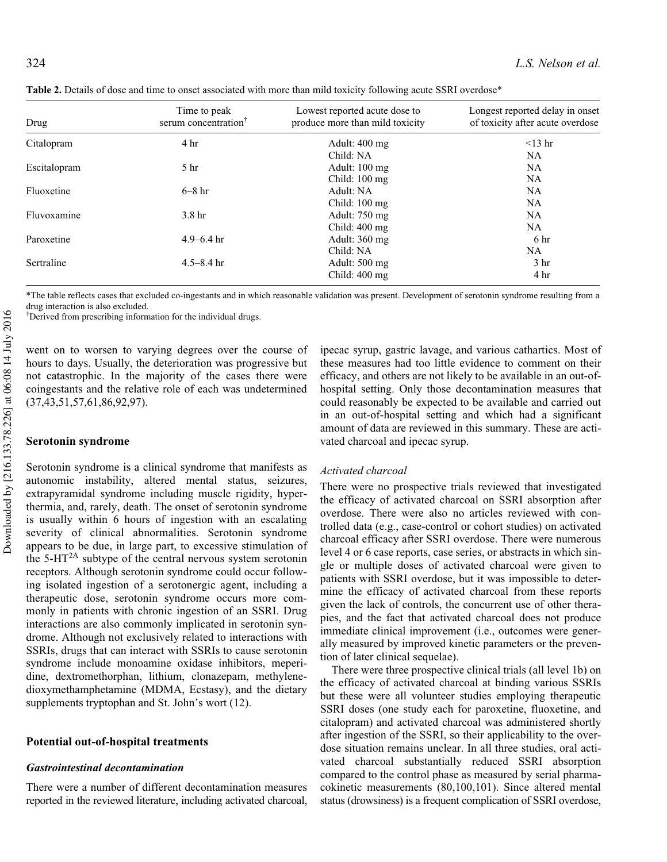| Drug         | Time to peak<br>serum concentration <sup>†</sup> | Lowest reported acute dose to<br>produce more than mild toxicity | Longest reported delay in onset<br>of toxicity after acute overdose |
|--------------|--------------------------------------------------|------------------------------------------------------------------|---------------------------------------------------------------------|
| Citalopram   | 4 hr                                             | Adult: 400 mg                                                    | $<$ 13 hr                                                           |
|              |                                                  | Child: NA                                                        | NA.                                                                 |
| Escitalopram | 5 <sup>hr</sup>                                  | Adult: 100 mg                                                    | NA.                                                                 |
|              |                                                  | Child: $100 \text{ mg}$                                          | NA.                                                                 |
| Fluoxetine   | $6-8$ hr                                         | Adult: NA                                                        | <b>NA</b>                                                           |
|              |                                                  | Child: $100 \text{ mg}$                                          | NA.                                                                 |
| Fluvoxamine  | 3.8 <sub>hr</sub>                                | Adult: 750 mg                                                    | NA.                                                                 |
|              |                                                  | Child: $400 \text{ mg}$                                          | NA.                                                                 |
| Paroxetine   | $4.9 - 6.4$ hr                                   | Adult: 360 mg                                                    | 6 <sub>hr</sub>                                                     |
|              |                                                  | Child: NA                                                        | NA                                                                  |
| Sertraline   | $4.5 - 8.4$ hr                                   | Adult: 500 mg                                                    | 3 <sub>hr</sub>                                                     |
|              |                                                  | Child: $400 \text{ mg}$                                          | 4 <sup>hr</sup>                                                     |

**Table 2.** Details of dose and time to onset associated with more than mild toxicity following acute SSRI overdose\*

\*The table reflects cases that excluded co-ingestants and in which reasonable validation was present. Development of serotonin syndrome resulting from a drug interaction is also excluded.

†Derived from prescribing information for the individual drugs.

went on to worsen to varying degrees over the course of hours to days. Usually, the deterioration was progressive but not catastrophic. In the majority of the cases there were coingestants and the relative role of each was undetermined (37,43,51,57,61,86,92,97).

#### **Serotonin syndrome**

Serotonin syndrome is a clinical syndrome that manifests as autonomic instability, altered mental status, seizures, extrapyramidal syndrome including muscle rigidity, hyperthermia, and, rarely, death. The onset of serotonin syndrome is usually within 6 hours of ingestion with an escalating severity of clinical abnormalities. Serotonin syndrome appears to be due, in large part, to excessive stimulation of the  $5-HT^{2A}$  subtype of the central nervous system serotonin receptors. Although serotonin syndrome could occur following isolated ingestion of a serotonergic agent, including a therapeutic dose, serotonin syndrome occurs more commonly in patients with chronic ingestion of an SSRI. Drug interactions are also commonly implicated in serotonin syndrome. Although not exclusively related to interactions with SSRIs, drugs that can interact with SSRIs to cause serotonin syndrome include monoamine oxidase inhibitors, meperidine, dextromethorphan, lithium, clonazepam, methylenedioxymethamphetamine (MDMA, Ecstasy), and the dietary supplements tryptophan and St. John's wort (12).

#### **Potential out-of-hospital treatments**

#### *Gastrointestinal decontamination*

There were a number of different decontamination measures reported in the reviewed literature, including activated charcoal, ipecac syrup, gastric lavage, and various cathartics. Most of these measures had too little evidence to comment on their efficacy, and others are not likely to be available in an out-ofhospital setting. Only those decontamination measures that could reasonably be expected to be available and carried out in an out-of-hospital setting and which had a significant amount of data are reviewed in this summary. These are activated charcoal and ipecac syrup.

#### *Activated charcoal*

There were no prospective trials reviewed that investigated the efficacy of activated charcoal on SSRI absorption after overdose. There were also no articles reviewed with controlled data (e.g., case-control or cohort studies) on activated charcoal efficacy after SSRI overdose. There were numerous level 4 or 6 case reports, case series, or abstracts in which single or multiple doses of activated charcoal were given to patients with SSRI overdose, but it was impossible to determine the efficacy of activated charcoal from these reports given the lack of controls, the concurrent use of other therapies, and the fact that activated charcoal does not produce immediate clinical improvement (i.e., outcomes were generally measured by improved kinetic parameters or the prevention of later clinical sequelae).

There were three prospective clinical trials (all level 1b) on the efficacy of activated charcoal at binding various SSRIs but these were all volunteer studies employing therapeutic SSRI doses (one study each for paroxetine, fluoxetine, and citalopram) and activated charcoal was administered shortly after ingestion of the SSRI, so their applicability to the overdose situation remains unclear. In all three studies, oral activated charcoal substantially reduced SSRI absorption compared to the control phase as measured by serial pharmacokinetic measurements (80,100,101). Since altered mental status (drowsiness) is a frequent complication of SSRI overdose,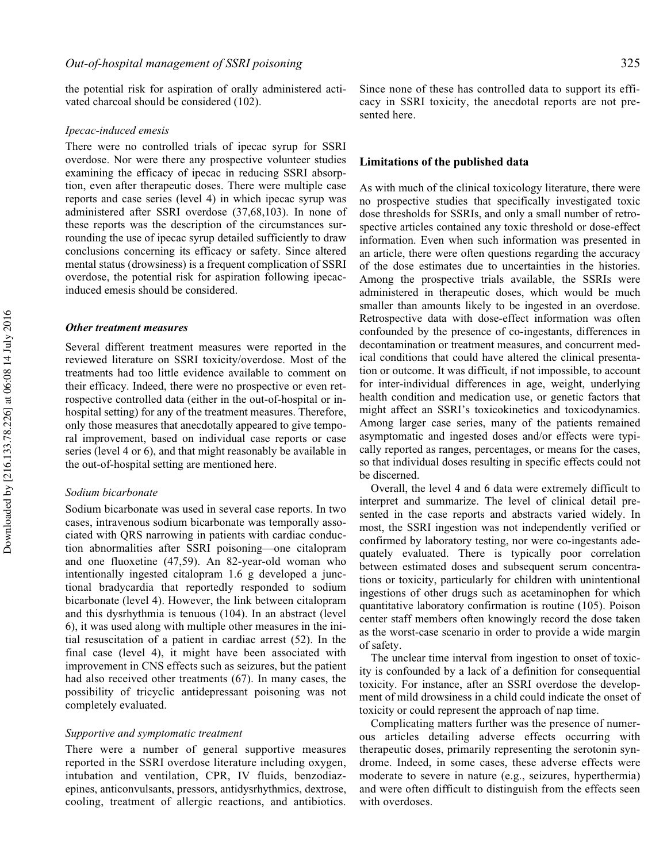the potential risk for aspiration of orally administered activated charcoal should be considered (102).

#### *Ipecac-induced emesis*

There were no controlled trials of ipecac syrup for SSRI overdose. Nor were there any prospective volunteer studies examining the efficacy of ipecac in reducing SSRI absorption, even after therapeutic doses. There were multiple case reports and case series (level 4) in which ipecac syrup was administered after SSRI overdose (37,68,103). In none of these reports was the description of the circumstances surrounding the use of ipecac syrup detailed sufficiently to draw conclusions concerning its efficacy or safety. Since altered mental status (drowsiness) is a frequent complication of SSRI overdose, the potential risk for aspiration following ipecacinduced emesis should be considered.

#### *Other treatment measures*

Several different treatment measures were reported in the reviewed literature on SSRI toxicity/overdose. Most of the treatments had too little evidence available to comment on their efficacy. Indeed, there were no prospective or even retrospective controlled data (either in the out-of-hospital or inhospital setting) for any of the treatment measures. Therefore, only those measures that anecdotally appeared to give temporal improvement, based on individual case reports or case series (level 4 or 6), and that might reasonably be available in the out-of-hospital setting are mentioned here.

# *Sodium bicarbonate*

Sodium bicarbonate was used in several case reports. In two cases, intravenous sodium bicarbonate was temporally associated with QRS narrowing in patients with cardiac conduction abnormalities after SSRI poisoning—one citalopram and one fluoxetine (47,59). An 82-year-old woman who intentionally ingested citalopram 1.6 g developed a junctional bradycardia that reportedly responded to sodium bicarbonate (level 4). However, the link between citalopram and this dysrhythmia is tenuous (104). In an abstract (level 6), it was used along with multiple other measures in the initial resuscitation of a patient in cardiac arrest (52). In the final case (level 4), it might have been associated with improvement in CNS effects such as seizures, but the patient had also received other treatments (67). In many cases, the possibility of tricyclic antidepressant poisoning was not completely evaluated.

#### *Supportive and symptomatic treatment*

There were a number of general supportive measures reported in the SSRI overdose literature including oxygen, intubation and ventilation, CPR, IV fluids, benzodiazepines, anticonvulsants, pressors, antidysrhythmics, dextrose, cooling, treatment of allergic reactions, and antibiotics. Since none of these has controlled data to support its efficacy in SSRI toxicity, the anecdotal reports are not presented here.

#### **Limitations of the published data**

As with much of the clinical toxicology literature, there were no prospective studies that specifically investigated toxic dose thresholds for SSRIs, and only a small number of retrospective articles contained any toxic threshold or dose-effect information. Even when such information was presented in an article, there were often questions regarding the accuracy of the dose estimates due to uncertainties in the histories. Among the prospective trials available, the SSRIs were administered in therapeutic doses, which would be much smaller than amounts likely to be ingested in an overdose. Retrospective data with dose-effect information was often confounded by the presence of co-ingestants, differences in decontamination or treatment measures, and concurrent medical conditions that could have altered the clinical presentation or outcome. It was difficult, if not impossible, to account for inter-individual differences in age, weight, underlying health condition and medication use, or genetic factors that might affect an SSRI's toxicokinetics and toxicodynamics. Among larger case series, many of the patients remained asymptomatic and ingested doses and/or effects were typically reported as ranges, percentages, or means for the cases, so that individual doses resulting in specific effects could not be discerned.

Overall, the level 4 and 6 data were extremely difficult to interpret and summarize. The level of clinical detail presented in the case reports and abstracts varied widely. In most, the SSRI ingestion was not independently verified or confirmed by laboratory testing, nor were co-ingestants adequately evaluated. There is typically poor correlation between estimated doses and subsequent serum concentrations or toxicity, particularly for children with unintentional ingestions of other drugs such as acetaminophen for which quantitative laboratory confirmation is routine (105). Poison center staff members often knowingly record the dose taken as the worst-case scenario in order to provide a wide margin of safety.

The unclear time interval from ingestion to onset of toxicity is confounded by a lack of a definition for consequential toxicity. For instance, after an SSRI overdose the development of mild drowsiness in a child could indicate the onset of toxicity or could represent the approach of nap time.

Complicating matters further was the presence of numerous articles detailing adverse effects occurring with therapeutic doses, primarily representing the serotonin syndrome. Indeed, in some cases, these adverse effects were moderate to severe in nature (e.g., seizures, hyperthermia) and were often difficult to distinguish from the effects seen with overdoses.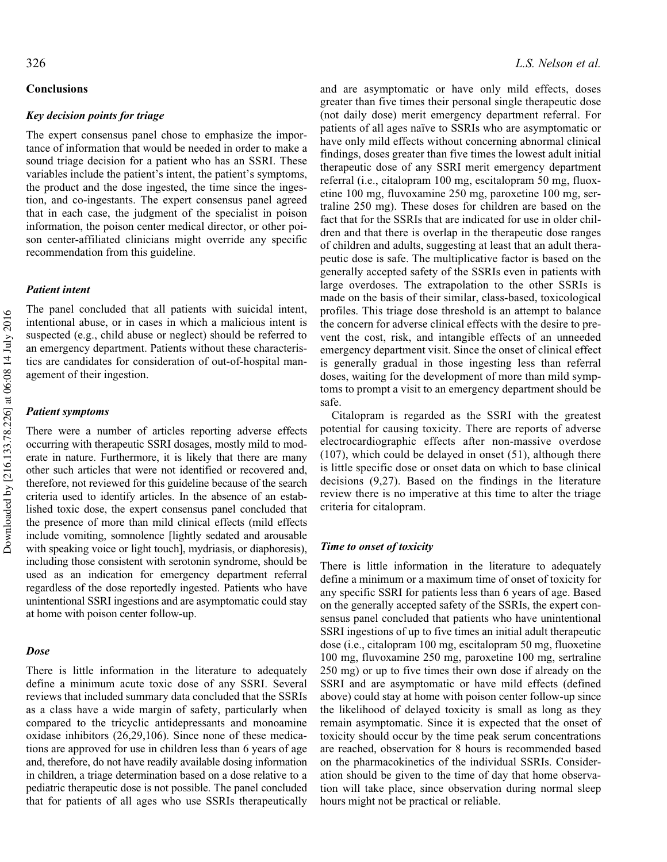## **Conclusions**

#### *Key decision points for triage*

The expert consensus panel chose to emphasize the importance of information that would be needed in order to make a sound triage decision for a patient who has an SSRI. These variables include the patient's intent, the patient's symptoms, the product and the dose ingested, the time since the ingestion, and co-ingestants. The expert consensus panel agreed that in each case, the judgment of the specialist in poison information, the poison center medical director, or other poison center-affiliated clinicians might override any specific recommendation from this guideline.

#### *Patient intent*

The panel concluded that all patients with suicidal intent, intentional abuse, or in cases in which a malicious intent is suspected (e.g., child abuse or neglect) should be referred to an emergency department. Patients without these characteristics are candidates for consideration of out-of-hospital management of their ingestion.

#### *Patient symptoms*

There were a number of articles reporting adverse effects occurring with therapeutic SSRI dosages, mostly mild to moderate in nature. Furthermore, it is likely that there are many other such articles that were not identified or recovered and, therefore, not reviewed for this guideline because of the search criteria used to identify articles. In the absence of an established toxic dose, the expert consensus panel concluded that the presence of more than mild clinical effects (mild effects include vomiting, somnolence [lightly sedated and arousable with speaking voice or light touch], mydriasis, or diaphoresis), including those consistent with serotonin syndrome, should be used as an indication for emergency department referral regardless of the dose reportedly ingested. Patients who have unintentional SSRI ingestions and are asymptomatic could stay at home with poison center follow-up.

#### *Dose*

There is little information in the literature to adequately define a minimum acute toxic dose of any SSRI. Several reviews that included summary data concluded that the SSRIs as a class have a wide margin of safety, particularly when compared to the tricyclic antidepressants and monoamine oxidase inhibitors (26,29,106). Since none of these medications are approved for use in children less than 6 years of age and, therefore, do not have readily available dosing information in children, a triage determination based on a dose relative to a pediatric therapeutic dose is not possible. The panel concluded that for patients of all ages who use SSRIs therapeutically

and are asymptomatic or have only mild effects, doses greater than five times their personal single therapeutic dose (not daily dose) merit emergency department referral. For patients of all ages naïve to SSRIs who are asymptomatic or have only mild effects without concerning abnormal clinical findings, doses greater than five times the lowest adult initial therapeutic dose of any SSRI merit emergency department referral (i.e., citalopram 100 mg, escitalopram 50 mg, fluoxetine 100 mg, fluvoxamine 250 mg, paroxetine 100 mg, sertraline 250 mg). These doses for children are based on the fact that for the SSRIs that are indicated for use in older children and that there is overlap in the therapeutic dose ranges of children and adults, suggesting at least that an adult therapeutic dose is safe. The multiplicative factor is based on the generally accepted safety of the SSRIs even in patients with large overdoses. The extrapolation to the other SSRIs is made on the basis of their similar, class-based, toxicological profiles. This triage dose threshold is an attempt to balance the concern for adverse clinical effects with the desire to prevent the cost, risk, and intangible effects of an unneeded emergency department visit. Since the onset of clinical effect is generally gradual in those ingesting less than referral doses, waiting for the development of more than mild symptoms to prompt a visit to an emergency department should be safe.

Citalopram is regarded as the SSRI with the greatest potential for causing toxicity. There are reports of adverse electrocardiographic effects after non-massive overdose (107), which could be delayed in onset (51), although there is little specific dose or onset data on which to base clinical decisions (9,27). Based on the findings in the literature review there is no imperative at this time to alter the triage criteria for citalopram.

#### *Time to onset of toxicity*

There is little information in the literature to adequately define a minimum or a maximum time of onset of toxicity for any specific SSRI for patients less than 6 years of age. Based on the generally accepted safety of the SSRIs, the expert consensus panel concluded that patients who have unintentional SSRI ingestions of up to five times an initial adult therapeutic dose (i.e., citalopram 100 mg, escitalopram 50 mg, fluoxetine 100 mg, fluvoxamine 250 mg, paroxetine 100 mg, sertraline 250 mg) or up to five times their own dose if already on the SSRI and are asymptomatic or have mild effects (defined above) could stay at home with poison center follow-up since the likelihood of delayed toxicity is small as long as they remain asymptomatic. Since it is expected that the onset of toxicity should occur by the time peak serum concentrations are reached, observation for 8 hours is recommended based on the pharmacokinetics of the individual SSRIs. Consideration should be given to the time of day that home observation will take place, since observation during normal sleep hours might not be practical or reliable.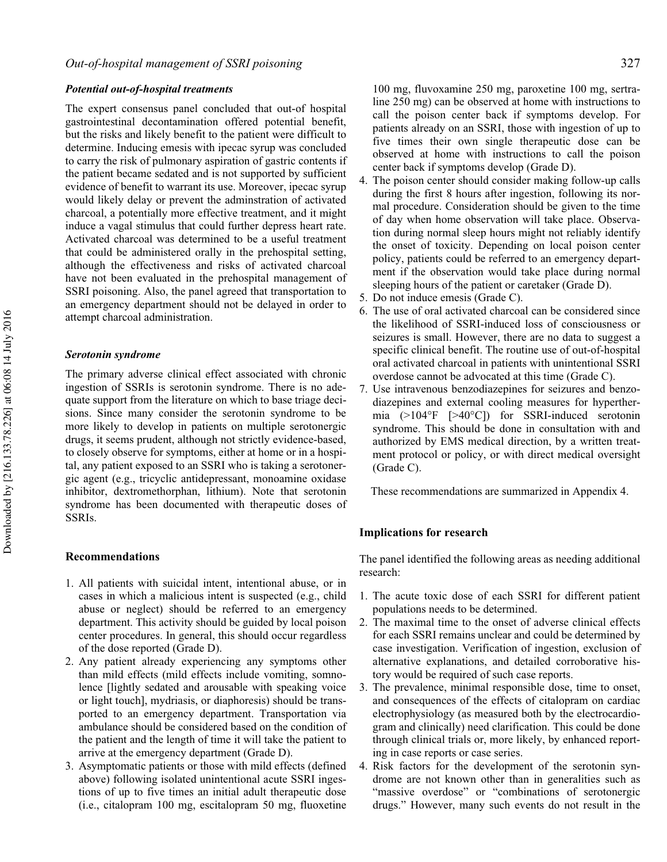#### *Potential out-of-hospital treatments*

The expert consensus panel concluded that out-of hospital gastrointestinal decontamination offered potential benefit, but the risks and likely benefit to the patient were difficult to determine. Inducing emesis with ipecac syrup was concluded to carry the risk of pulmonary aspiration of gastric contents if the patient became sedated and is not supported by sufficient evidence of benefit to warrant its use. Moreover, ipecac syrup would likely delay or prevent the adminstration of activated charcoal, a potentially more effective treatment, and it might induce a vagal stimulus that could further depress heart rate. Activated charcoal was determined to be a useful treatment that could be administered orally in the prehospital setting, although the effectiveness and risks of activated charcoal have not been evaluated in the prehospital management of SSRI poisoning. Also, the panel agreed that transportation to an emergency department should not be delayed in order to attempt charcoal administration.

#### *Serotonin syndrome*

The primary adverse clinical effect associated with chronic ingestion of SSRIs is serotonin syndrome. There is no adequate support from the literature on which to base triage decisions. Since many consider the serotonin syndrome to be more likely to develop in patients on multiple serotonergic drugs, it seems prudent, although not strictly evidence-based, to closely observe for symptoms, either at home or in a hospital, any patient exposed to an SSRI who is taking a serotonergic agent (e.g., tricyclic antidepressant, monoamine oxidase inhibitor, dextromethorphan, lithium). Note that serotonin syndrome has been documented with therapeutic doses of SSRIs.

#### **Recommendations**

- 1. All patients with suicidal intent, intentional abuse, or in cases in which a malicious intent is suspected (e.g., child abuse or neglect) should be referred to an emergency department. This activity should be guided by local poison center procedures. In general, this should occur regardless of the dose reported (Grade D).
- 2. Any patient already experiencing any symptoms other than mild effects (mild effects include vomiting, somnolence [lightly sedated and arousable with speaking voice or light touch], mydriasis, or diaphoresis) should be transported to an emergency department. Transportation via ambulance should be considered based on the condition of the patient and the length of time it will take the patient to arrive at the emergency department (Grade D).
- 3. Asymptomatic patients or those with mild effects (defined above) following isolated unintentional acute SSRI ingestions of up to five times an initial adult therapeutic dose (i.e., citalopram 100 mg, escitalopram 50 mg, fluoxetine

100 mg, fluvoxamine 250 mg, paroxetine 100 mg, sertraline 250 mg) can be observed at home with instructions to call the poison center back if symptoms develop. For patients already on an SSRI, those with ingestion of up to five times their own single therapeutic dose can be observed at home with instructions to call the poison center back if symptoms develop (Grade D).

- 4. The poison center should consider making follow-up calls during the first 8 hours after ingestion, following its normal procedure. Consideration should be given to the time of day when home observation will take place. Observation during normal sleep hours might not reliably identify the onset of toxicity. Depending on local poison center policy, patients could be referred to an emergency department if the observation would take place during normal sleeping hours of the patient or caretaker (Grade D).
- 5. Do not induce emesis (Grade C).
- 6. The use of oral activated charcoal can be considered since the likelihood of SSRI-induced loss of consciousness or seizures is small. However, there are no data to suggest a specific clinical benefit. The routine use of out-of-hospital oral activated charcoal in patients with unintentional SSRI overdose cannot be advocated at this time (Grade C).
- 7. Use intravenous benzodiazepines for seizures and benzodiazepines and external cooling measures for hyperthermia (>104°F [>40°C]) for SSRI-induced serotonin syndrome. This should be done in consultation with and authorized by EMS medical direction, by a written treatment protocol or policy, or with direct medical oversight (Grade C).

These recommendations are summarized in Appendix 4.

## **Implications for research**

The panel identified the following areas as needing additional research:

- 1. The acute toxic dose of each SSRI for different patient populations needs to be determined.
- 2. The maximal time to the onset of adverse clinical effects for each SSRI remains unclear and could be determined by case investigation. Verification of ingestion, exclusion of alternative explanations, and detailed corroborative history would be required of such case reports.
- 3. The prevalence, minimal responsible dose, time to onset, and consequences of the effects of citalopram on cardiac electrophysiology (as measured both by the electrocardiogram and clinically) need clarification. This could be done through clinical trials or, more likely, by enhanced reporting in case reports or case series.
- 4. Risk factors for the development of the serotonin syndrome are not known other than in generalities such as "massive overdose" or "combinations of serotonergic drugs." However, many such events do not result in the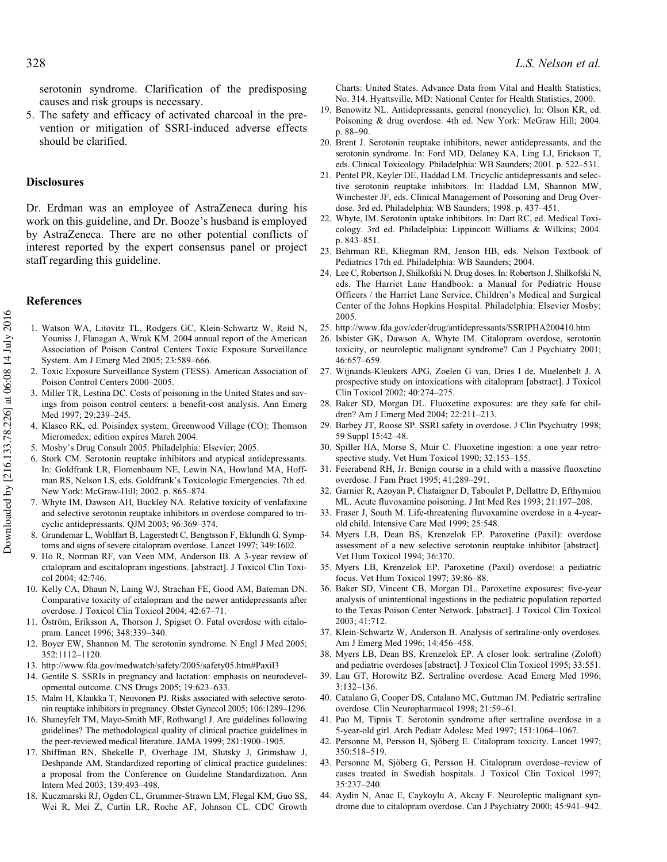serotonin syndrome. Clarification of the predisposing causes and risk groups is necessary.

5. The safety and efficacy of activated charcoal in the prevention or mitigation of SSRI-induced adverse effects should be clarified.

#### **Disclosures**

Dr. Erdman was an employee of AstraZeneca during his work on this guideline, and Dr. Booze's husband is employed by AstraZeneca. There are no other potential conflicts of interest reported by the expert consensus panel or project staff regarding this guideline.

#### **References**

- 1. Watson WA, Litovitz TL, Rodgers GC, Klein-Schwartz W, Reid N, Youniss J, Flanagan A, Wruk KM. 2004 annual report of the American Association of Poison Control Centers Toxic Exposure Surveillance System. Am J Emerg Med 2005; 23:589–666.
- 2. Toxic Exposure Surveillance System (TESS). American Association of Poison Control Centers 2000–2005.
- 3. Miller TR, Lestina DC. Costs of poisoning in the United States and savings from poison control centers: a benefit-cost analysis. Ann Emerg Med 1997; 29:239–245.
- 4. Klasco RK, ed. Poisindex system. Greenwood Village (CO): Thomson Micromedex; edition expires March 2004.
- 5. Mosby's Drug Consult 2005. Philadelphia: Elsevier; 2005.
- 6. Stork CM. Serotonin reuptake inhibitors and atypical antidepressants. In: Goldfrank LR, Flomenbaum NE, Lewin NA, Howland MA, Hoffman RS, Nelson LS, eds. Goldfrank's Toxicologic Emergencies. 7th ed. New York: McGraw-Hill; 2002. p. 865–874.
- 7. Whyte IM, Dawson AH, Buckley NA. Relative toxicity of venlafaxine and selective serotonin reuptake inhibitors in overdose compared to tricyclic antidepressants. QJM 2003; 96:369–374.
- 8. Grundemar L, Wohlfart B, Lagerstedt C, Bengtsson F, Eklundh G. Symptoms and signs of severe citalopram overdose. Lancet 1997; 349:1602.
- 9. Ho R, Norman RF, van Veen MM, Anderson IB. A 3-year review of citalopram and escitalopram ingestions. [abstract]. J Toxicol Clin Toxicol 2004; 42:746.
- 10. Kelly CA, Dhaun N, Laing WJ, Strachan FE, Good AM, Bateman DN. Comparative toxicity of citalopram and the newer antidepressants after overdose. J Toxicol Clin Toxicol 2004; 42:67–71.
- 11. Öström, Eriksson A, Thorson J, Spigset O. Fatal overdose with citalopram. Lancet 1996; 348:339–340.
- 12. Boyer EW, Shannon M. The serotonin syndrome. N Engl J Med 2005; 352:1112–1120.
- 13. http://www.fda.gov/medwatch/safety/2005/safety05.htm#Paxil3
- 14. Gentile S. SSRIs in pregnancy and lactation: emphasis on neurodevelopmental outcome. CNS Drugs 2005; 19:623–633.
- 15. Malm H, Klaukka T, Neuvonen PJ. Risks associated with selective serotonin reuptake inhibitors in pregnancy. Obstet Gynecol 2005; 106:1289–1296.
- 16. Shaneyfelt TM, Mayo-Smith MF, Rothwangl J. Are guidelines following guidelines? The methodological quality of clinical practice guidelines in the peer-reviewed medical literature. JAMA 1999; 281:1900–1905.
- 17. Shiffman RN, Shekelle P, Overhage JM, Slutsky J, Grimshaw J, Deshpande AM. Standardized reporting of clinical practice guidelines: a proposal from the Conference on Guideline Standardization. Ann Intern Med 2003; 139:493–498.
- 18. Kuczmarski RJ, Ogden CL, Grummer-Strawn LM, Flegal KM, Guo SS, Wei R, Mei Z, Curtin LR, Roche AF, Johnson CL. CDC Growth

Charts: United States. Advance Data from Vital and Health Statistics; No. 314. Hyattsville, MD: National Center for Health Statistics, 2000.

- 19. Benowitz NL. Antidepressants, general (noncyclic). In: Olson KR, ed. Poisoning & drug overdose. 4th ed. New York: McGraw Hill; 2004. p. 88–90.
- 20. Brent J. Serotonin reuptake inhibitors, newer antidepressants, and the serotonin syndrome. In: Ford MD, Delaney KA, Ling LJ, Erickson T, eds. Clinical Toxicology. Philadelphia: WB Saunders; 2001. p. 522–531.
- 21. Pentel PR, Keyler DE, Haddad LM. Tricyclic antidepressants and selective serotonin reuptake inhibitors. In: Haddad LM, Shannon MW, Winchester JF, eds. Clinical Management of Poisoning and Drug Overdose. 3rd ed. Philadelphia: WB Saunders; 1998. p. 437–451.
- 22. Whyte, IM. Serotonin uptake inhibitors. In: Dart RC, ed. Medical Toxicology. 3rd ed. Philadelphia: Lippincott Williams & Wilkins; 2004. p. 843–851.
- 23. Behrman RE, Kliegman RM, Jenson HB, eds. Nelson Textbook of Pediatrics 17th ed. Philadelphia: WB Saunders; 2004.
- 24. Lee C, Robertson J, Shilkofski N. Drug doses. In: Robertson J, Shilkofski N, eds. The Harriet Lane Handbook: a Manual for Pediatric House Officers / the Harriet Lane Service, Children's Medical and Surgical Center of the Johns Hopkins Hospital. Philadelphia: Elsevier Mosby; 2005.
- 25. http://www.fda.gov/cder/drug/antidepressants/SSRIPHA200410.htm
- 26. Isbister GK, Dawson A, Whyte IM. Citalopram overdose, serotonin toxicity, or neuroleptic malignant syndrome? Can J Psychiatry 2001; 46:657–659.
- 27. Wijnands-Kleukers APG, Zoelen G van, Dries I de, Muelenbelt J. A prospective study on intoxications with citalopram [abstract]. J Toxicol Clin Toxicol 2002; 40:274–275.
- 28. Baker SD, Morgan DL. Fluoxetine exposures: are they safe for children? Am J Emerg Med 2004; 22:211–213.
- 29. Barbey JT, Roose SP. SSRI safety in overdose. J Clin Psychiatry 1998; 59 Suppl 15:42–48.
- 30. Spiller HA, Morse S, Muir C. Fluoxetine ingestion: a one year retrospective study. Vet Hum Toxicol 1990; 32:153–155.
- 31. Feierabend RH, Jr. Benign course in a child with a massive fluoxetine overdose. J Fam Pract 1995; 41:289–291.
- 32. Garnier R, Azoyan P, Chataigner D, Taboulet P, Dellattre D, Efthymiou ML. Acute fluvoxamine poisoning. J Int Med Res 1993; 21:197–208.
- 33. Fraser J, South M. Life-threatening fluvoxamine overdose in a 4-yearold child. Intensive Care Med 1999; 25:548.
- 34. Myers LB, Dean BS, Krenzelok EP. Paroxetine (Paxil): overdose assessment of a new selective serotonin reuptake inhibitor [abstract]. Vet Hum Toxicol 1994; 36:370.
- 35. Myers LB, Krenzelok EP. Paroxetine (Paxil) overdose: a pediatric focus. Vet Hum Toxicol 1997; 39:86–88.
- 36. Baker SD, Vincent CB, Morgan DL. Paroxetine exposures: five-year analysis of unintentional ingestions in the pediatric population reported to the Texas Poison Center Network. [abstract]. J Toxicol Clin Toxicol 2003; 41:712.
- 37. Klein-Schwartz W, Anderson B. Analysis of sertraline-only overdoses. Am J Emerg Med 1996; 14:456–458.
- 38. Myers LB, Dean BS, Krenzelok EP. A closer look: sertraline (Zoloft) and pediatric overdoses [abstract]. J Toxicol Clin Toxicol 1995; 33:551.
- 39. Lau GT, Horowitz BZ. Sertraline overdose. Acad Emerg Med 1996; 3:132–136.
- 40. Catalano G, Cooper DS, Catalano MC, Guttman JM. Pediatric sertraline overdose. Clin Neuropharmacol 1998; 21:59–61.
- 41. Pao M, Tipnis T. Serotonin syndrome after sertraline overdose in a 5-year-old girl. Arch Pediatr Adolesc Med 1997; 151:1064–1067.
- 42. Personne M, Persson H, Sjöberg E. Citalopram toxicity. Lancet 1997; 350:518–519.
- 43. Personne M, Sjöberg G, Persson H. Citalopram overdose–review of cases treated in Swedish hospitals. J Toxicol Clin Toxicol 1997; 35:237–240.
- 44. Aydin N, Anac E, Caykoylu A, Akcay F. Neuroleptic malignant syndrome due to citalopram overdose. Can J Psychiatry 2000; 45:941–942.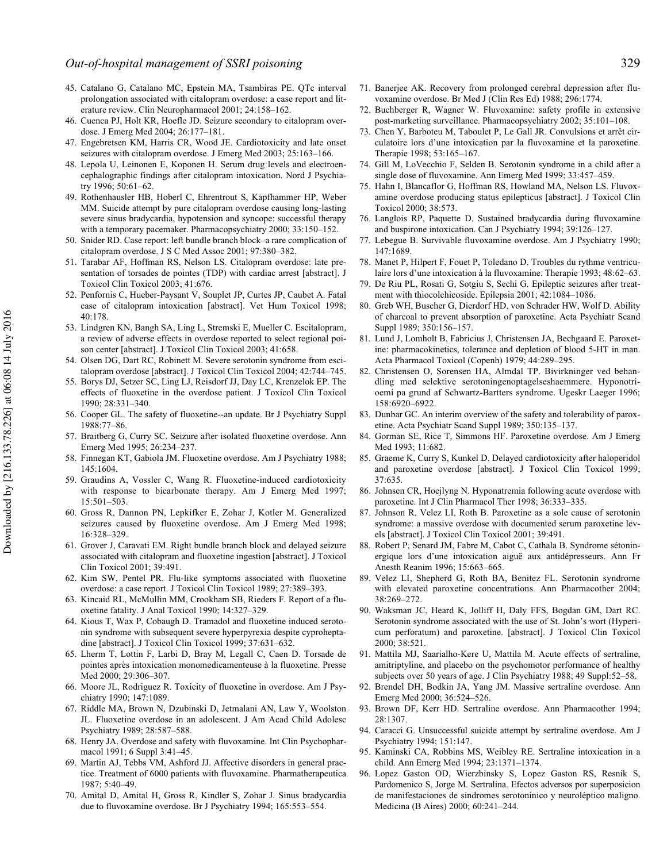- 45. Catalano G, Catalano MC, Epstein MA, Tsambiras PE. QTc interval prolongation associated with citalopram overdose: a case report and literature review. Clin Neuropharmacol 2001; 24:158–162.
- 46. Cuenca PJ, Holt KR, Hoefle JD. Seizure secondary to citalopram overdose. J Emerg Med 2004; 26:177–181.
- 47. Engebretsen KM, Harris CR, Wood JE. Cardiotoxicity and late onset seizures with citalopram overdose. J Emerg Med 2003; 25:163–166.
- 48. Lepola U, Leinonen E, Koponen H. Serum drug levels and electroencephalographic findings after citalopram intoxication. Nord J Psychiatry 1996; 50:61–62.
- 49. Rothenhausler HB, Hoberl C, Ehrentrout S, Kapfhammer HP, Weber MM. Suicide attempt by pure citalopram overdose causing long-lasting severe sinus bradycardia, hypotension and syncope: successful therapy with a temporary pacemaker. Pharmacopsychiatry 2000; 33:150–152.
- 50. Snider RD. Case report: left bundle branch block–a rare complication of citalopram overdose. J S C Med Assoc 2001; 97:380–382.
- 51. Tarabar AF, Hoffman RS, Nelson LS. Citalopram overdose: late presentation of torsades de pointes (TDP) with cardiac arrest [abstract]. J Toxicol Clin Toxicol 2003; 41:676.
- 52. Penfornis C, Hueber-Paysant V, Souplet JP, Curtes JP, Caubet A. Fatal case of citalopram intoxication [abstract]. Vet Hum Toxicol 1998; 40:178.
- 53. Lindgren KN, Bangh SA, Ling L, Stremski E, Mueller C. Escitalopram, a review of adverse effects in overdose reported to select regional poison center [abstract]. J Toxicol Clin Toxicol 2003; 41:658.
- 54. Olsen DG, Dart RC, Robinett M. Severe serotonin syndrome from escitalopram overdose [abstract]. J Toxicol Clin Toxicol 2004; 42:744–745.
- 55. Borys DJ, Setzer SC, Ling LJ, Reisdorf JJ, Day LC, Krenzelok EP. The effects of fluoxetine in the overdose patient. J Toxicol Clin Toxicol 1990; 28:331–340.
- 56. Cooper GL. The safety of fluoxetine--an update. Br J Psychiatry Suppl 1988:77–86.
- 57. Braitberg G, Curry SC. Seizure after isolated fluoxetine overdose. Ann Emerg Med 1995; 26:234–237.
- 58. Finnegan KT, Gabiola JM. Fluoxetine overdose. Am J Psychiatry 1988; 145:1604.
- 59. Graudins A, Vossler C, Wang R. Fluoxetine-induced cardiotoxicity with response to bicarbonate therapy. Am J Emerg Med 1997; 15:501–503.
- 60. Gross R, Dannon PN, Lepkifker E, Zohar J, Kotler M. Generalized seizures caused by fluoxetine overdose. Am J Emerg Med 1998; 16:328–329.
- 61. Grover J, Caravati EM. Right bundle branch block and delayed seizure associated with citalopram and fluoxetine ingestion [abstract]. J Toxicol Clin Toxicol 2001; 39:491.
- 62. Kim SW, Pentel PR. Flu-like symptoms associated with fluoxetine overdose: a case report. J Toxicol Clin Toxicol 1989; 27:389–393.
- 63. Kincaid RL, McMullin MM, Crookham SB, Rieders F. Report of a fluoxetine fatality. J Anal Toxicol 1990; 14:327–329.
- 64. Kious T, Wax P, Cobaugh D. Tramadol and fluoxetine induced serotonin syndrome with subsequent severe hyperpyrexia despite cyproheptadine [abstract]. J Toxicol Clin Toxicol 1999; 37:631–632.
- 65. Lherm T, Lottin F, Larbi D, Bray M, Legall C, Caen D. Torsade de pointes après intoxication monomedicamenteuse à la fluoxetine. Presse Med 2000; 29:306–307.
- 66. Moore JL, Rodriguez R. Toxicity of fluoxetine in overdose. Am J Psychiatry 1990; 147:1089.
- 67. Riddle MA, Brown N, Dzubinski D, Jetmalani AN, Law Y, Woolston JL. Fluoxetine overdose in an adolescent. J Am Acad Child Adolesc Psychiatry 1989; 28:587–588.
- 68. Henry JA. Overdose and safety with fluvoxamine. Int Clin Psychopharmacol 1991; 6 Suppl 3:41–45.
- 69. Martin AJ, Tebbs VM, Ashford JJ. Affective disorders in general practice. Treatment of 6000 patients with fluvoxamine. Pharmatherapeutica 1987; 5:40–49.
- 70. Amital D, Amital H, Gross R, Kindler S, Zohar J. Sinus bradycardia due to fluvoxamine overdose. Br J Psychiatry 1994; 165:553–554.
- 71. Banerjee AK. Recovery from prolonged cerebral depression after fluvoxamine overdose. Br Med J (Clin Res Ed) 1988; 296:1774.
- 72. Buchberger R, Wagner W. Fluvoxamine: safety profile in extensive post-marketing surveillance. Pharmacopsychiatry 2002; 35:101–108.
- 73. Chen Y, Barboteu M, Taboulet P, Le Gall JR. Convulsions et arrêt circulatoire lors d'une intoxication par la fluvoxamine et la paroxetine. Therapie 1998; 53:165–167.
- 74. Gill M, LoVecchio F, Selden B. Serotonin syndrome in a child after a single dose of fluvoxamine. Ann Emerg Med 1999; 33:457–459.
- 75. Hahn I, Blancaflor G, Hoffman RS, Howland MA, Nelson LS. Fluvoxamine overdose producing status epilepticus [abstract]. J Toxicol Clin Toxicol 2000; 38:573.
- 76. Langlois RP, Paquette D. Sustained bradycardia during fluvoxamine and buspirone intoxication. Can J Psychiatry 1994; 39:126–127.
- 77. Lebegue B. Survivable fluvoxamine overdose. Am J Psychiatry 1990; 147:1689.
- 78. Manet P, Hilpert F, Fouet P, Toledano D. Troubles du rythme ventriculaire lors d'une intoxication à la fluvoxamine. Therapie 1993; 48:62–63.
- 79. De Riu PL, Rosati G, Sotgiu S, Sechi G. Epileptic seizures after treatment with thiocolchicoside. Epilepsia 2001; 42:1084–1086.
- 80. Greb WH, Buscher G, Dierdorf HD, von Schrader HW, Wolf D. Ability of charcoal to prevent absorption of paroxetine. Acta Psychiatr Scand Suppl 1989; 350:156–157.
- 81. Lund J, Lomholt B, Fabricius J, Christensen JA, Bechgaard E. Paroxetine: pharmacokinetics, tolerance and depletion of blood 5-HT in man. Acta Pharmacol Toxicol (Copenh) 1979; 44:289–295.
- 82. Christensen O, Sorensen HA, Almdal TP. Bivirkninger ved behandling med selektive serotoningenoptagelseshaemmere. Hyponotrioemi pa grund af Schwartz-Bartters syndrome. Ugeskr Laeger 1996; 158:6920–6922.
- 83. Dunbar GC. An interim overview of the safety and tolerability of paroxetine. Acta Psychiatr Scand Suppl 1989; 350:135–137.
- 84. Gorman SE, Rice T, Simmons HF. Paroxetine overdose. Am J Emerg Med 1993; 11:682.
- 85. Graeme K, Curry S, Kunkel D. Delayed cardiotoxicity after haloperidol and paroxetine overdose [abstract]. J Toxicol Clin Toxicol 1999; 37:635.
- 86. Johnsen CR, Hoejlyng N. Hyponatremia following acute overdose with paroxetine. Int J Clin Pharmacol Ther 1998; 36:333–335.
- 87. Johnson R, Velez LI, Roth B. Paroxetine as a sole cause of serotonin syndrome: a massive overdose with documented serum paroxetine levels [abstract]. J Toxicol Clin Toxicol 2001; 39:491.
- 88. Robert P, Senard JM, Fabre M, Cabot C, Cathala B. Syndrome sétoninergique lors d'une intoxication aiguë aux antidépresseurs. Ann Fr Anesth Reanim 1996; 15:663–665.
- 89. Velez LI, Shepherd G, Roth BA, Benitez FL. Serotonin syndrome with elevated paroxetine concentrations. Ann Pharmacother 2004; 38:269–272.
- 90. Waksman JC, Heard K, Jolliff H, Daly FFS, Bogdan GM, Dart RC. Serotonin syndrome associated with the use of St. John's wort (Hypericum perforatum) and paroxetine. [abstract]. J Toxicol Clin Toxicol 2000; 38:521.
- 91. Mattila MJ, Saarialho-Kere U, Mattila M. Acute effects of sertraline, amitriptyline, and placebo on the psychomotor performance of healthy subjects over 50 years of age. J Clin Psychiatry 1988; 49 Suppl:52–58.
- 92. Brendel DH, Bodkin JA, Yang JM. Massive sertraline overdose. Ann Emerg Med 2000; 36:524–526.
- 93. Brown DF, Kerr HD. Sertraline overdose. Ann Pharmacother 1994; 28:1307.
- 94. Caracci G. Unsuccessful suicide attempt by sertraline overdose. Am J Psychiatry 1994; 151:147.
- 95. Kaminski CA, Robbins MS, Weibley RE. Sertraline intoxication in a child. Ann Emerg Med 1994; 23:1371–1374.
- 96. Lopez Gaston OD, Wierzbinsky S, Lopez Gaston RS, Resnik S, Pardomenico S, Jorge M. Sertralina. Efectos adversos por superposicion de manifestaciones de sindromes serotoninico y neuroléptico maligno. Medicina (B Aires) 2000; 60:241–244.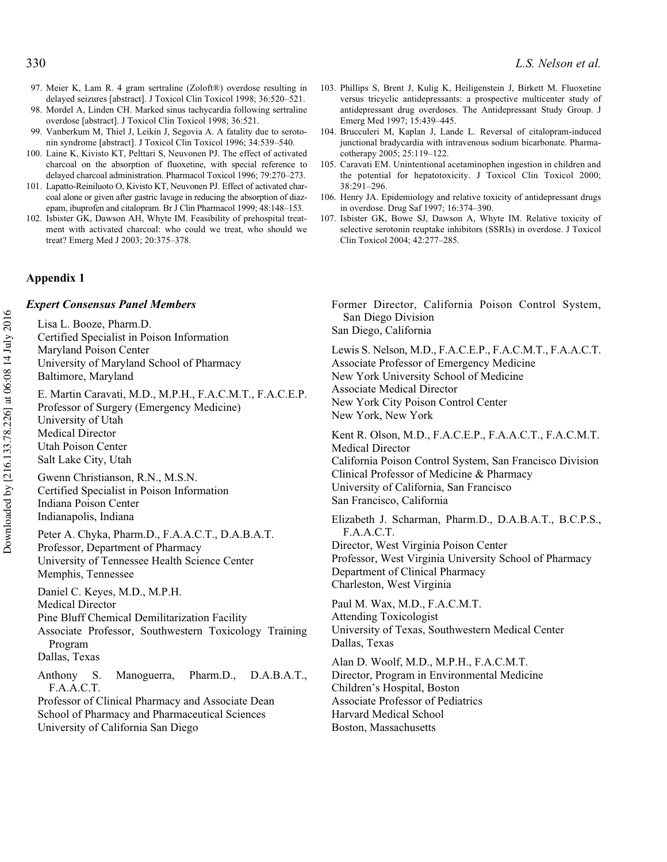- 97. Meier K, Lam R. 4 gram sertraline (Zoloft®) overdose resulting in delayed seizures [abstract]. J Toxicol Clin Toxicol 1998; 36:520–521.
- 98. Mordel A, Linden CH. Marked sinus tachycardia following sertraline overdose [abstract]. J Toxicol Clin Toxicol 1998; 36:521.
- Vanberkum M, Thiel J, Leikin J, Segovia A. A fatality due to serotonin syndrome [abstract]. J Toxicol Clin Toxicol 1996; 34:539–540.
- 100. Laine K, Kivisto KT, Pelttari S, Neuvonen PJ. The effect of activated charcoal on the absorption of fluoxetine, with special reference to delayed charcoal administration. Pharmacol Toxicol 1996; 79:270–273.
- 101. Lapatto-Reiniluoto O, Kivisto KT, Neuvonen PJ. Effect of activated charcoal alone or given after gastric lavage in reducing the absorption of diazepam, ibuprofen and citalopram. Br J Clin Pharmacol 1999; 48:148–153.
- 102. Isbister GK, Dawson AH, Whyte IM. Feasibility of prehospital treatment with activated charcoal: who could we treat, who should we treat? Emerg Med J 2003; 20:375–378.

#### **Appendix 1**

#### *Expert Consensus Panel Members*

Lisa L. Booze, Pharm.D. Certified Specialist in Poison Information Maryland Poison Center University of Maryland School of Pharmacy Baltimore, Maryland

E. Martin Caravati, M.D., M.P.H., F.A.C.M.T., F.A.C.E.P. Professor of Surgery (Emergency Medicine) University of Utah Medical Director Utah Poison Center Salt Lake City, Utah

Gwenn Christianson, R.N., M.S.N. Certified Specialist in Poison Information Indiana Poison Center Indianapolis, Indiana

Peter A. Chyka, Pharm.D., F.A.A.C.T., D.A.B.A.T. Professor, Department of Pharmacy University of Tennessee Health Science Center Memphis, Tennessee

Daniel C. Keyes, M.D., M.P.H. Medical Director Pine Bluff Chemical Demilitarization Facility Associate Professor, Southwestern Toxicology Training Program Dallas, Texas

Anthony S. Manoguerra, Pharm.D., D.A.B.A.T., F.A.A.C.T.

Professor of Clinical Pharmacy and Associate Dean School of Pharmacy and Pharmaceutical Sciences University of California San Diego

- 103. Phillips S, Brent J, Kulig K, Heiligenstein J, Birkett M. Fluoxetine versus tricyclic antidepressants: a prospective multicenter study of antidepressant drug overdoses. The Antidepressant Study Group. J Emerg Med 1997; 15:439–445.
- 104. Brucculeri M, Kaplan J, Lande L. Reversal of citalopram-induced junctional bradycardia with intravenous sodium bicarbonate. Pharmacotherapy 2005; 25:119–122.
- 105. Caravati EM. Unintentional acetaminophen ingestion in children and the potential for hepatotoxicity. J Toxicol Clin Toxicol 2000; 38:291–296.
- 106. Henry JA. Epidemiology and relative toxicity of antidepressant drugs in overdose. Drug Saf 1997; 16:374–390.
- 107. Isbister GK, Bowe SJ, Dawson A, Whyte IM. Relative toxicity of selective serotonin reuptake inhibitors (SSRIs) in overdose. J Toxicol Clin Toxicol 2004; 42:277–285.

Former Director, California Poison Control System, San Diego Division San Diego, California Lewis S. Nelson, M.D., F.A.C.E.P., F.A.C.M.T., F.A.A.C.T. Associate Professor of Emergency Medicine New York University School of Medicine Associate Medical Director New York City Poison Control Center New York, New York

Kent R. Olson, M.D., F.A.C.E.P., F.A.A.C.T., F.A.C.M.T. Medical Director California Poison Control System, San Francisco Division Clinical Professor of Medicine & Pharmacy University of California, San Francisco San Francisco, California

Elizabeth J. Scharman, Pharm.D., D.A.B.A.T., B.C.P.S., F.A.A.C.T. Director, West Virginia Poison Center Professor, West Virginia University School of Pharmacy Department of Clinical Pharmacy Charleston, West Virginia

Paul M. Wax, M.D., F.A.C.M.T. Attending Toxicologist University of Texas, Southwestern Medical Center Dallas, Texas

Alan D. Woolf, M.D., M.P.H., F.A.C.M.T. Director, Program in Environmental Medicine Children's Hospital, Boston Associate Professor of Pediatrics Harvard Medical School Boston, Massachusetts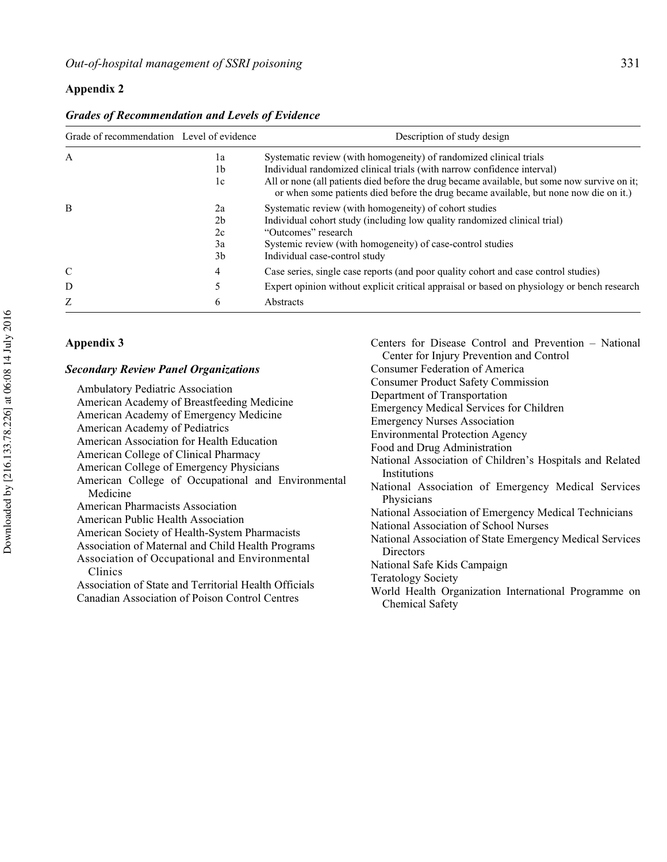## **Appendix 2**

| <b>Grades of Recommendation and Levels of Evidence</b> |  |  |
|--------------------------------------------------------|--|--|
|                                                        |  |  |

| Grade of recommendation Level of evidence |                | Description of study design                                                                                                                                                           |
|-------------------------------------------|----------------|---------------------------------------------------------------------------------------------------------------------------------------------------------------------------------------|
| $\mathbf{A}$                              | 1a             | Systematic review (with homogeneity) of randomized clinical trials                                                                                                                    |
|                                           | 1 <sub>b</sub> | Individual randomized clinical trials (with narrow confidence interval)                                                                                                               |
|                                           | 1c             | All or none (all patients died before the drug became available, but some now survive on it;<br>or when some patients died before the drug became available, but none now die on it.) |
| B                                         | 2a             | Systematic review (with homogeneity) of cohort studies                                                                                                                                |
|                                           | 2b             | Individual cohort study (including low quality randomized clinical trial)                                                                                                             |
|                                           | 2c             | "Outcomes" research                                                                                                                                                                   |
|                                           | 3a             | Systemic review (with homogeneity) of case-control studies                                                                                                                            |
|                                           | 3 <sub>b</sub> | Individual case-control study                                                                                                                                                         |
| $\mathcal{C}$                             | 4              | Case series, single case reports (and poor quality cohort and case control studies)                                                                                                   |
| D                                         |                | Expert opinion without explicit critical appraisal or based on physiology or bench research                                                                                           |
|                                           | 6              | <b>Abstracts</b>                                                                                                                                                                      |

# **Appendix 3**

#### *Secondary Review Panel Organizations*

Ambulatory Pediatric Association American Academy of Breastfeeding Medicine American Academy of Emergency Medicine American Academy of Pediatrics American Association for Health Education American College of Clinical Pharmacy American College of Emergency Physicians American College of Occupational and Environmen Medicine American Pharmacists Association American Public Health Association American Society of Health-System Pharmacists Association of Maternal and Child Health Programs Association of Occupational and Environmental Clinics Association of State and Territorial Health Officials Canadian Association of Poison Control Centres

|     | Centers for Disease Control and Prevention - National                        |
|-----|------------------------------------------------------------------------------|
|     | Center for Injury Prevention and Control                                     |
|     | Consumer Federation of America                                               |
|     | <b>Consumer Product Safety Commission</b>                                    |
|     | Department of Transportation                                                 |
|     | <b>Emergency Medical Services for Children</b>                               |
| tal | <b>Emergency Nurses Association</b>                                          |
|     | <b>Environmental Protection Agency</b>                                       |
|     | Food and Drug Administration                                                 |
|     | National Association of Children's Hospitals and Related                     |
|     | Institutions                                                                 |
|     | National Association of Emergency Medical Services                           |
|     | Physicians                                                                   |
|     | National Association of Emergency Medical Technicians                        |
|     | National Association of School Nurses                                        |
|     | National Association of State Emergency Medical Services<br><b>Directors</b> |
|     | National Safe Kids Campaign                                                  |
|     | <b>Teratology Society</b>                                                    |
|     | World Health Organization International Programme on                         |
|     | <b>Chemical Safety</b>                                                       |
|     |                                                                              |